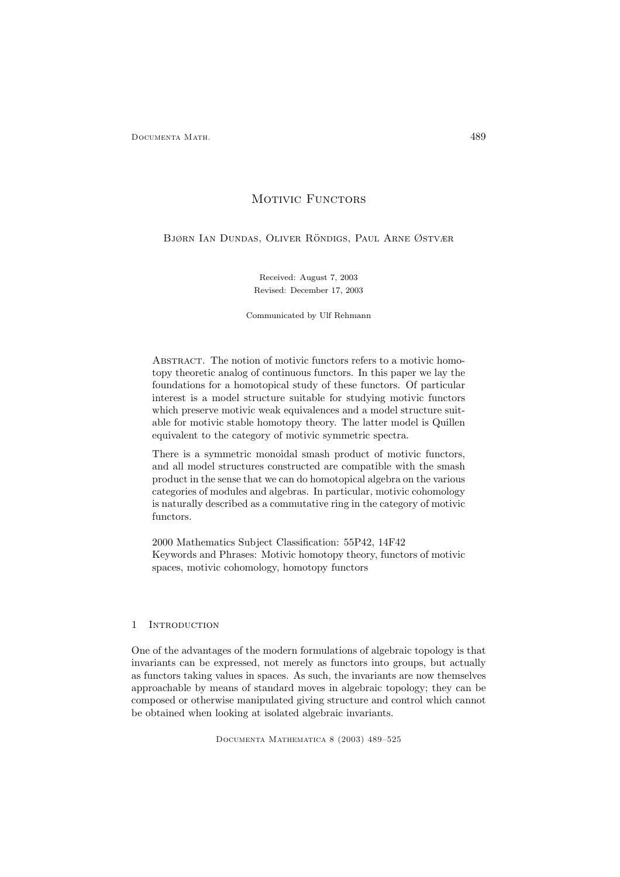# MOTIVIC FUNCTORS

BJØRN IAN DUNDAS, OLIVER RÖNDIGS, PAUL ARNE ØSTVÆR

Received: August 7, 2003 Revised: December 17, 2003

Communicated by Ulf Rehmann

ABSTRACT. The notion of motivic functors refers to a motivic homotopy theoretic analog of continuous functors. In this paper we lay the foundations for a homotopical study of these functors. Of particular interest is a model structure suitable for studying motivic functors which preserve motivic weak equivalences and a model structure suitable for motivic stable homotopy theory. The latter model is Quillen equivalent to the category of motivic symmetric spectra.

There is a symmetric monoidal smash product of motivic functors, and all model structures constructed are compatible with the smash product in the sense that we can do homotopical algebra on the various categories of modules and algebras. In particular, motivic cohomology is naturally described as a commutative ring in the category of motivic functors.

2000 Mathematics Subject Classification: 55P42, 14F42 Keywords and Phrases: Motivic homotopy theory, functors of motivic spaces, motivic cohomology, homotopy functors

# 1 Introduction

One of the advantages of the modern formulations of algebraic topology is that invariants can be expressed, not merely as functors into groups, but actually as functors taking values in spaces. As such, the invariants are now themselves approachable by means of standard moves in algebraic topology; they can be composed or otherwise manipulated giving structure and control which cannot be obtained when looking at isolated algebraic invariants.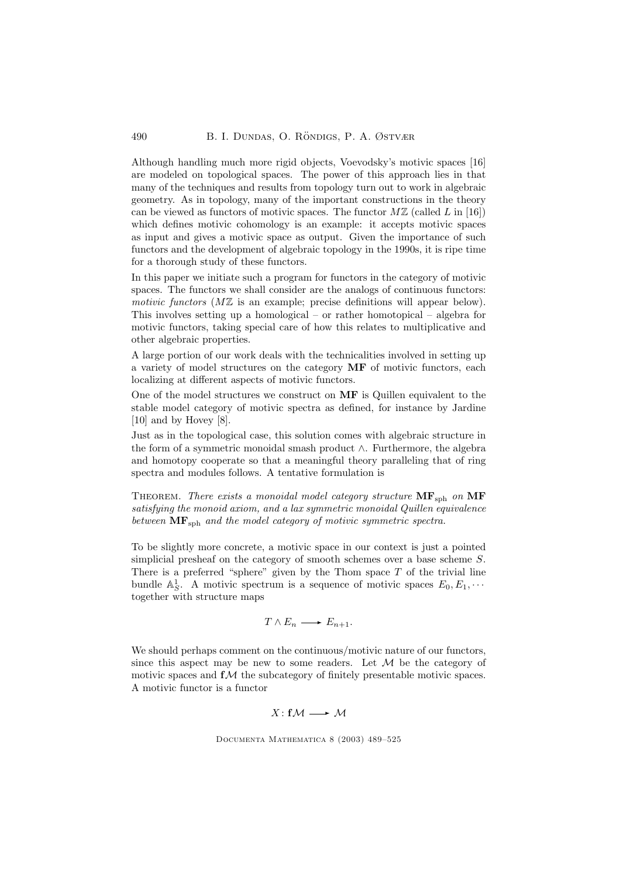Although handling much more rigid objects, Voevodsky's motivic spaces [16] are modeled on topological spaces. The power of this approach lies in that many of the techniques and results from topology turn out to work in algebraic geometry. As in topology, many of the important constructions in the theory can be viewed as functors of motivic spaces. The functor  $M\mathbb{Z}$  (called L in [16]) which defines motivic cohomology is an example: it accepts motivic spaces as input and gives a motivic space as output. Given the importance of such functors and the development of algebraic topology in the 1990s, it is ripe time for a thorough study of these functors.

In this paper we initiate such a program for functors in the category of motivic spaces. The functors we shall consider are the analogs of continuous functors: motivic functors  $(M\mathbb{Z})$  is an example; precise definitions will appear below). This involves setting up a homological – or rather homotopical – algebra for motivic functors, taking special care of how this relates to multiplicative and other algebraic properties.

A large portion of our work deals with the technicalities involved in setting up a variety of model structures on the category MF of motivic functors, each localizing at different aspects of motivic functors.

One of the model structures we construct on MF is Quillen equivalent to the stable model category of motivic spectra as defined, for instance by Jardine [10] and by Hovey [8].

Just as in the topological case, this solution comes with algebraic structure in the form of a symmetric monoidal smash product ∧. Furthermore, the algebra and homotopy cooperate so that a meaningful theory paralleling that of ring spectra and modules follows. A tentative formulation is

THEOREM. There exists a monoidal model category structure  $MF_{sph}$  on  $MF$ satisfying the monoid axiom, and a lax symmetric monoidal Quillen equivalence between  $\text{MF}_{\text{sph}}$  and the model category of motivic symmetric spectra.

To be slightly more concrete, a motivic space in our context is just a pointed simplicial presheaf on the category of smooth schemes over a base scheme S. There is a preferred "sphere" given by the Thom space  $T$  of the trivial line bundle  $\mathbb{A}^1_S$ . A motivic spectrum is a sequence of motivic spaces  $E_0, E_1, \cdots$ together with structure maps

$$
T \wedge E_n \longrightarrow E_{n+1}.
$$

We should perhaps comment on the continuous/motivic nature of our functors, since this aspect may be new to some readers. Let  $\mathcal M$  be the category of motivic spaces and  $f\mathcal{M}$  the subcategory of finitely presentable motivic spaces. A motivic functor is a functor

 $X: f\mathcal{M} \longrightarrow \mathcal{M}$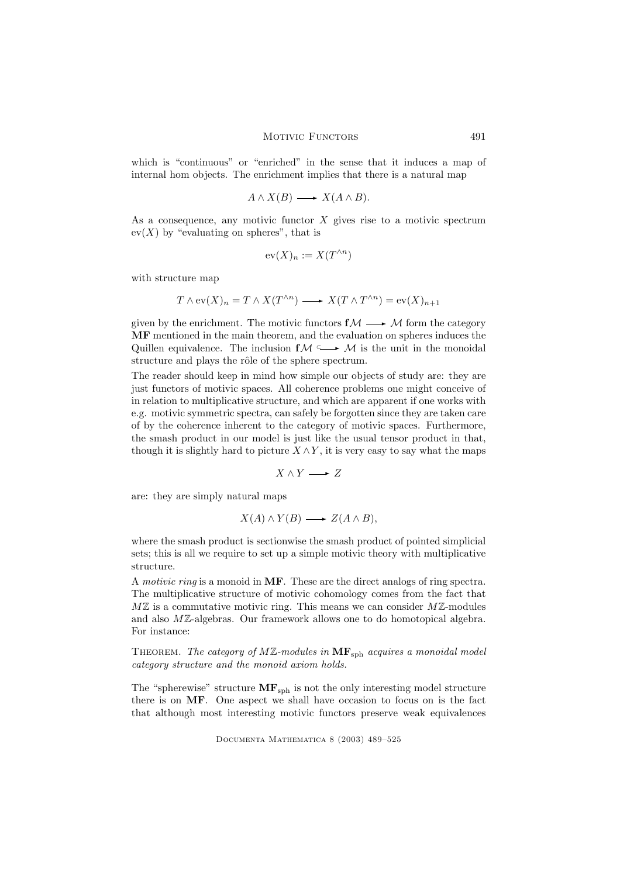which is "continuous" or "enriched" in the sense that it induces a map of internal hom objects. The enrichment implies that there is a natural map

$$
A \wedge X(B) \longrightarrow X(A \wedge B).
$$

As a consequence, any motivic functor  $X$  gives rise to a motivic spectrum  $ev(X)$  by "evaluating on spheres", that is

$$
\mathrm{ev}(X)_n := X(T^{\wedge n})
$$

with structure map

$$
T \wedge \mathrm{ev}(X)_n = T \wedge X(T^{\wedge n}) \longrightarrow X(T \wedge T^{\wedge n}) = \mathrm{ev}(X)_{n+1}
$$

given by the enrichment. The motivic functors  $f\mathcal{M} \longrightarrow \mathcal{M}$  form the category MF mentioned in the main theorem, and the evaluation on spheres induces the Quillen equivalence. The inclusion  $f\mathcal{M} \longrightarrow \mathcal{M}$  is the unit in the monoidal structure and plays the rôle of the sphere spectrum.

The reader should keep in mind how simple our objects of study are: they are just functors of motivic spaces. All coherence problems one might conceive of in relation to multiplicative structure, and which are apparent if one works with e.g. motivic symmetric spectra, can safely be forgotten since they are taken care of by the coherence inherent to the category of motivic spaces. Furthermore, the smash product in our model is just like the usual tensor product in that, though it is slightly hard to picture  $X \wedge Y$ , it is very easy to say what the maps

$$
X \wedge Y \longrightarrow Z
$$

are: they are simply natural maps

$$
X(A) \wedge Y(B) \longrightarrow Z(A \wedge B),
$$

where the smash product is sectionwise the smash product of pointed simplicial sets; this is all we require to set up a simple motivic theory with multiplicative structure.

A motivic ring is a monoid in MF. These are the direct analogs of ring spectra. The multiplicative structure of motivic cohomology comes from the fact that  $M\mathbb{Z}$  is a commutative motivic ring. This means we can consider  $M\mathbb{Z}$ -modules and also MZ-algebras. Our framework allows one to do homotopical algebra. For instance:

THEOREM. The category of  $M\mathbb{Z}$ -modules in  $\mathbf{MF}_{\text{sph}}$  acquires a monoidal model category structure and the monoid axiom holds.

The "spherewise" structure  $MF_{sph}$  is not the only interesting model structure there is on MF. One aspect we shall have occasion to focus on is the fact that although most interesting motivic functors preserve weak equivalences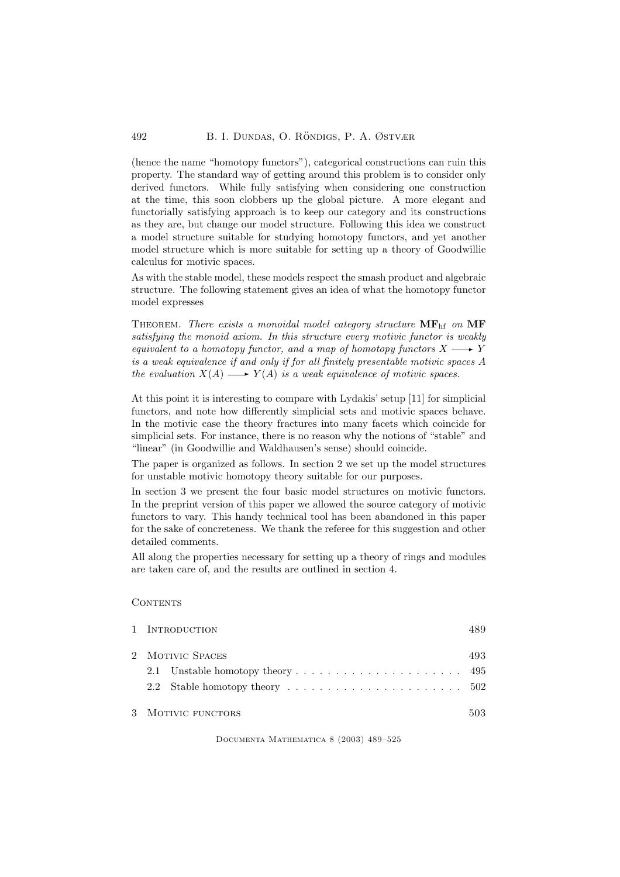(hence the name "homotopy functors"), categorical constructions can ruin this property. The standard way of getting around this problem is to consider only derived functors. While fully satisfying when considering one construction at the time, this soon clobbers up the global picture. A more elegant and functorially satisfying approach is to keep our category and its constructions as they are, but change our model structure. Following this idea we construct a model structure suitable for studying homotopy functors, and yet another model structure which is more suitable for setting up a theory of Goodwillie calculus for motivic spaces.

As with the stable model, these models respect the smash product and algebraic structure. The following statement gives an idea of what the homotopy functor model expresses

THEOREM. There exists a monoidal model category structure  $\mathbf{MF}_{\text{hf}}$  on  $\mathbf{MF}_{\text{hf}}$ satisfying the monoid axiom. In this structure every motivic functor is weakly equivalent to a homotopy functor, and a map of homotopy functors  $X \longrightarrow Y$ is a weak equivalence if and only if for all finitely presentable motivic spaces A the evaluation  $X(A) \longrightarrow Y(A)$  is a weak equivalence of motivic spaces.

At this point it is interesting to compare with Lydakis' setup [11] for simplicial functors, and note how differently simplicial sets and motivic spaces behave. In the motivic case the theory fractures into many facets which coincide for simplicial sets. For instance, there is no reason why the notions of "stable" and "linear" (in Goodwillie and Waldhausen's sense) should coincide.

The paper is organized as follows. In section 2 we set up the model structures for unstable motivic homotopy theory suitable for our purposes.

In section 3 we present the four basic model structures on motivic functors. In the preprint version of this paper we allowed the source category of motivic functors to vary. This handy technical tool has been abandoned in this paper for the sake of concreteness. We thank the referee for this suggestion and other detailed comments.

All along the properties necessary for setting up a theory of rings and modules are taken care of, and the results are outlined in section 4.

# CONTENTS

|                    | 1 INTRODUCTION | 489 |
|--------------------|----------------|-----|
| 2 MOTIVIC SPACES   |                |     |
|                    |                |     |
|                    |                |     |
| 3 MOTIVIC FUNCTORS |                | 503 |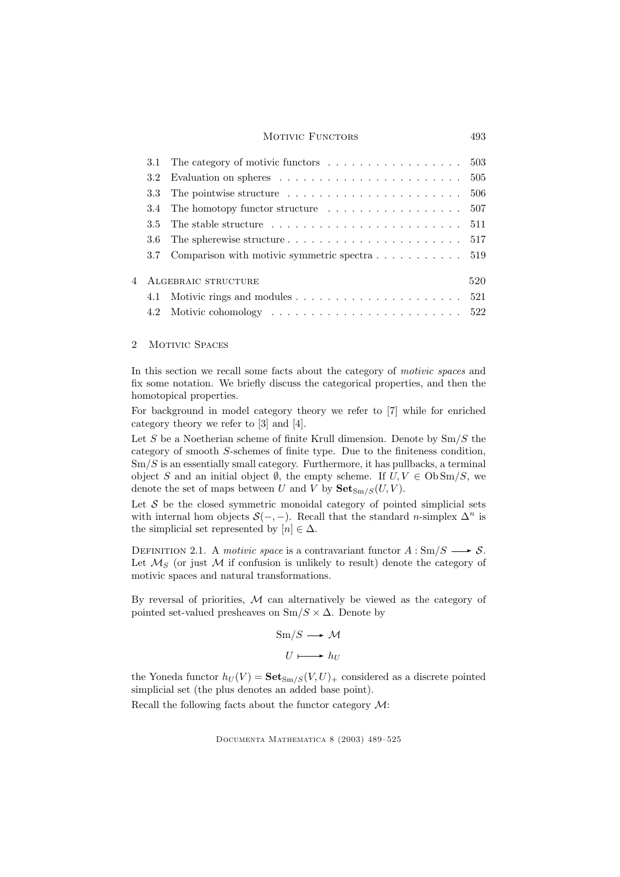### MOTIVIC FUNCTORS 493

|     | 3.1 The category of motivic functors $\dots \dots \dots \dots \dots \dots \dots \dots$ 503        |     |
|-----|---------------------------------------------------------------------------------------------------|-----|
|     | 3.2 Evaluation on spheres $\dots \dots \dots \dots \dots \dots \dots \dots \dots \dots \dots$ 505 |     |
| 3.3 | The pointwise structure $\dots \dots \dots \dots \dots \dots \dots \dots \dots \dots \dots 506$   |     |
|     | 3.4 The homotopy functor structure $\dots \dots \dots \dots \dots \dots \dots \dots \dots$ 507    |     |
| 3.5 |                                                                                                   |     |
| 3.6 | The spherewise structure $\dots \dots \dots \dots \dots \dots \dots \dots \dots 517$              |     |
|     | 3.7 Comparison with motivic symmetric spectra $\dots \dots \dots \dots$ 519                       |     |
|     |                                                                                                   |     |
|     | 4 ALGEBRAIC STRUCTURE                                                                             | 520 |
|     |                                                                                                   |     |
|     |                                                                                                   |     |

# 2 MOTIVIC SPACES

In this section we recall some facts about the category of *motivic spaces* and fix some notation. We briefly discuss the categorical properties, and then the homotopical properties.

For background in model category theory we refer to [7] while for enriched category theory we refer to [3] and [4].

Let  $S$  be a Noetherian scheme of finite Krull dimension. Denote by  $\text{Sm}/S$  the category of smooth S-schemes of finite type. Due to the finiteness condition,  $\text{Sm}/S$  is an essentially small category. Furthermore, it has pullbacks, a terminal object S and an initial object  $\emptyset$ , the empty scheme. If  $U, V \in \text{Ob} \text{Sm}/S$ , we denote the set of maps between U and V by  $\mathbf{Set}_{\mathrm{Sm}/S}(U, V)$ .

Let  $S$  be the closed symmetric monoidal category of pointed simplicial sets with internal hom objects  $S(-, -)$ . Recall that the standard *n*-simplex  $\Delta^n$  is the simplicial set represented by  $[n] \in \Delta$ .

DEFINITION 2.1. A motivic space is a contravariant functor  $A: \text{Sm}/S \longrightarrow S$ . Let  $\mathcal{M}_S$  (or just  $\mathcal M$  if confusion is unlikely to result) denote the category of motivic spaces and natural transformations.

By reversal of priorities,  $M$  can alternatively be viewed as the category of pointed set-valued presheaves on  $\text{Sm}/S \times \Delta$ . Denote by

$$
Sm/S \longrightarrow \mathcal{M}
$$

$$
U \longmapsto h_U
$$

the Yoneda functor  $h_U(V) = \mathbf{Set}_{\text{Sm}/S}(V, U)_+$  considered as a discrete pointed simplicial set (the plus denotes an added base point).

Recall the following facts about the functor category M: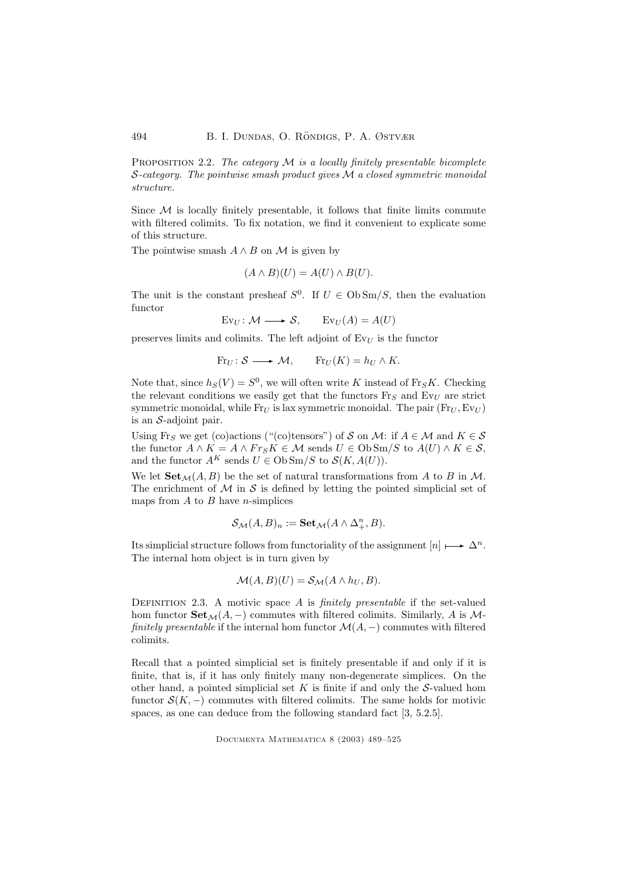PROPOSITION 2.2. The category  $\mathcal M$  is a locally finitely presentable bicomplete S-category. The pointwise smash product gives  $\mathcal M$  a closed symmetric monoidal structure.

Since  $M$  is locally finitely presentable, it follows that finite limits commute with filtered colimits. To fix notation, we find it convenient to explicate some of this structure.

The pointwise smash  $A \wedge B$  on M is given by

$$
(A \wedge B)(U) = A(U) \wedge B(U).
$$

The unit is the constant presheaf  $S^0$ . If  $U \in \text{Ob} \text{Sm}/S$ , then the evaluation functor

$$
Ev_U: \mathcal{M} \longrightarrow \mathcal{S}, \qquad Ev_U(A) = A(U)
$$

preserves limits and colimits. The left adjoint of  $Ev_U$  is the functor

$$
Fr_U: \mathcal{S} \longrightarrow \mathcal{M}, \qquad Fr_U(K) = h_U \wedge K.
$$

Note that, since  $h<sub>S</sub>(V) = S<sup>0</sup>$ , we will often write K instead of Fr<sub>S</sub>K. Checking the relevant conditions we easily get that the functors  $\text{Fr}_S$  and  $\text{Ev}_U$  are strict symmetric monoidal, while  $Fr_U$  is lax symmetric monoidal. The pair  $(Fr_U, Ev_U)$ is an S-adjoint pair.

Using Fr<sub>S</sub> we get (co)actions ("(co)tensors") of S on M: if  $A \in \mathcal{M}$  and  $K \in \mathcal{S}$ the functor  $A \wedge K = A \wedge Fr_S K \in \mathcal{M}$  sends  $U \in \text{Ob} \text{Sm}/S$  to  $A(U) \wedge K \in \mathcal{S}$ , and the functor  $A^K$  sends  $U \in \text{Ob} \text{Sm}/S$  to  $\mathcal{S}(K, A(U)).$ 

We let  $\text{Set}_{\mathcal{M}}(A, B)$  be the set of natural transformations from A to B in M. The enrichment of  $M$  in  $S$  is defined by letting the pointed simplicial set of maps from  $A$  to  $B$  have *n*-simplices

$$
\mathcal{S}_{\mathcal{M}}(A,B)_n := \mathbf{Set}_{\mathcal{M}}(A \wedge \Delta^n_+,B).
$$

Its simplicial structure follows from functoriality of the assignment  $[n] \mapsto \Delta^n$ . The internal hom object is in turn given by

$$
\mathcal{M}(A,B)(U) = \mathcal{S}_{\mathcal{M}}(A \wedge h_U, B).
$$

DEFINITION 2.3. A motivic space  $A$  is *finitely presentable* if the set-valued hom functor  $\text{Set}_{\mathcal{M}}(A, -)$  commutes with filtered colimits. Similarly, A is Mfinitely presentable if the internal hom functor  $\mathcal{M}(A, -)$  commutes with filtered colimits.

Recall that a pointed simplicial set is finitely presentable if and only if it is finite, that is, if it has only finitely many non-degenerate simplices. On the other hand, a pointed simplicial set  $K$  is finite if and only the  $S$ -valued hom functor  $S(K, -)$  commutes with filtered colimits. The same holds for motivic spaces, as one can deduce from the following standard fact [3, 5.2.5].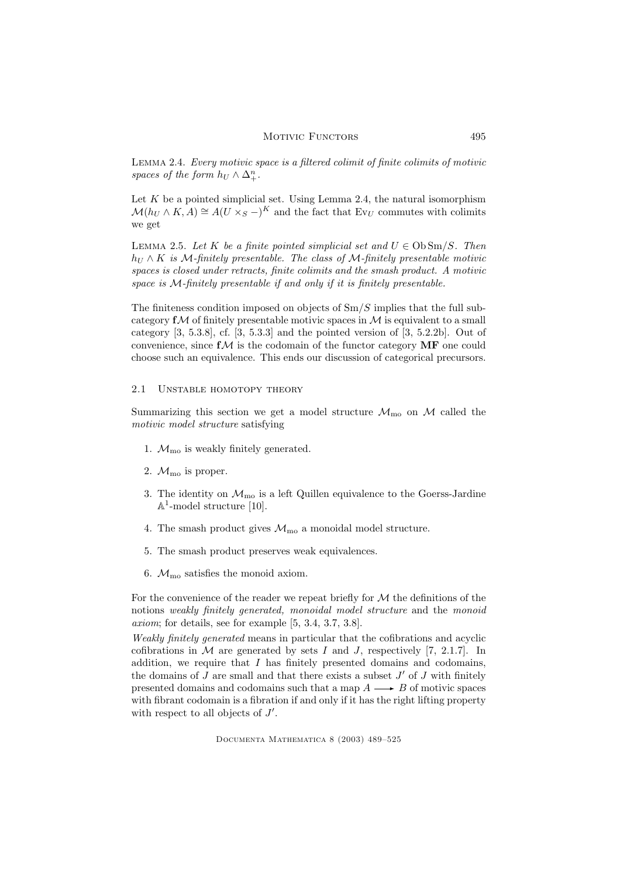Lemma 2.4. Every motivic space is a filtered colimit of finite colimits of motivic spaces of the form  $h_U \wedge \Delta^n_+$ .

Let  $K$  be a pointed simplicial set. Using Lemma 2.4, the natural isomorphism  $\mathcal{M}(h_U \wedge K, A) \cong A(U \times_S -)^K$  and the fact that Ev<sub>U</sub> commutes with colimits we get

LEMMA 2.5. Let K be a finite pointed simplicial set and  $U \in \mathrm{Ob} \mathrm{Sm}/S$ . Then  $h_U \wedge K$  is M-finitely presentable. The class of M-finitely presentable motivic spaces is closed under retracts, finite colimits and the smash product. A motivic space is M-finitely presentable if and only if it is finitely presentable.

The finiteness condition imposed on objects of  $\text{Sm}/S$  implies that the full subcategory  $f\mathcal{M}$  of finitely presentable motivic spaces in  $\mathcal{M}$  is equivalent to a small category  $[3, 5.3.8]$ , cf.  $[3, 5.3.3]$  and the pointed version of  $[3, 5.2.2b]$ . Out of convenience, since  $f\mathcal{M}$  is the codomain of the functor category  $\mathbf{MF}$  one could choose such an equivalence. This ends our discussion of categorical precursors.

# 2.1 UNSTABLE HOMOTOPY THEORY

Summarizing this section we get a model structure  $\mathcal{M}_{\text{mo}}$  on  $\mathcal{M}$  called the motivic model structure satisfying

- 1.  $\mathcal{M}_{\text{mo}}$  is weakly finitely generated.
- 2.  $\mathcal{M}_{\text{mo}}$  is proper.
- 3. The identity on  $\mathcal{M}_{\text{mo}}$  is a left Quillen equivalence to the Goerss-Jardine  $\mathbb{A}^1$ -model structure [10].
- 4. The smash product gives  $\mathcal{M}_{\text{mo}}$  a monoidal model structure.
- 5. The smash product preserves weak equivalences.
- 6.  $\mathcal{M}_{\text{mo}}$  satisfies the monoid axiom.

For the convenience of the reader we repeat briefly for  $M$  the definitions of the notions weakly finitely generated, monoidal model structure and the monoid axiom; for details, see for example [5, 3.4, 3.7, 3.8].

Weakly finitely generated means in particular that the cofibrations and acyclic cofibrations in  $M$  are generated by sets I and J, respectively [7, 2.1.7]. In addition, we require that  $I$  has finitely presented domains and codomains, the domains of  $J$  are small and that there exists a subset  $J'$  of  $J$  with finitely presented domains and codomains such that a map  $A \longrightarrow B$  of motivic spaces with fibrant codomain is a fibration if and only if it has the right lifting property with respect to all objects of  $J'$ .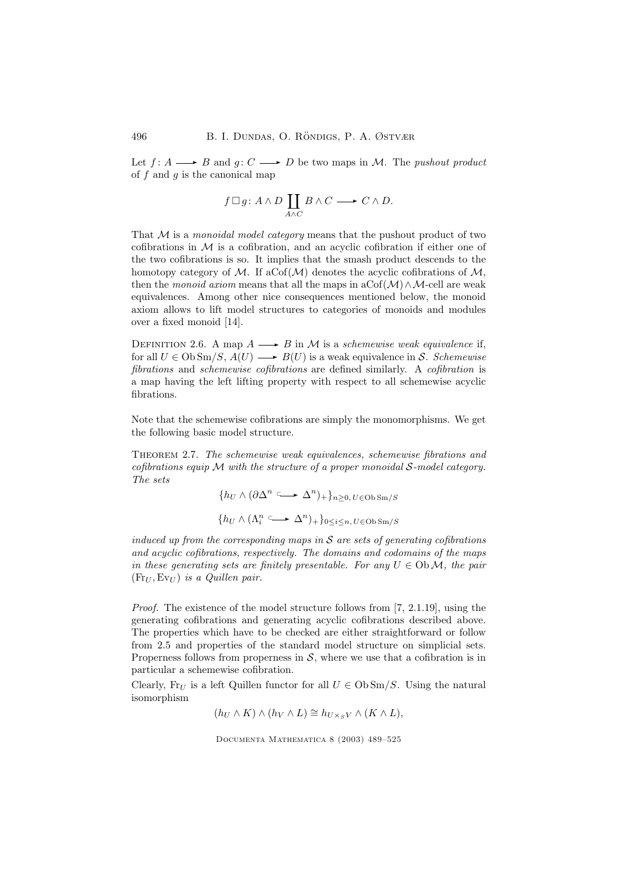Let  $f: A \longrightarrow B$  and  $g: C \longrightarrow D$  be two maps in M. The pushout product of  $f$  and  $g$  is the canonical map

$$
f \Box g \colon A \land D \coprod_{A \land C} B \land C \longrightarrow C \land D.
$$

That  $M$  is a monoidal model category means that the pushout product of two cofibrations in  $\mathcal M$  is a cofibration, and an acyclic cofibration if either one of the two cofibrations is so. It implies that the smash product descends to the homotopy category of M. If aCof( $\mathcal M$ ) denotes the acyclic cofibrations of M, then the monoid axiom means that all the maps in aCof( $M$ )∧M-cell are weak equivalences. Among other nice consequences mentioned below, the monoid axiom allows to lift model structures to categories of monoids and modules over a fixed monoid [14].

DEFINITION 2.6. A map  $A \longrightarrow B$  in M is a schemewise weak equivalence if, for all  $U \in \mathrm{Ob} \mathrm{Sm}/S$ ,  $A(U) \longrightarrow B(U)$  is a weak equivalence in  $S$ . Schemewise fibrations and schemewise cofibrations are defined similarly. A cofibration is a map having the left lifting property with respect to all schemewise acyclic fibrations.

Note that the schemewise cofibrations are simply the monomorphisms. We get the following basic model structure.

Theorem 2.7. The schemewise weak equivalences, schemewise fibrations and cofibrations equip  $\mathcal M$  with the structure of a proper monoidal  $\mathcal S$ -model category. The sets

$$
\{h_U \wedge (\partial \Delta^n \longrightarrow \Delta^n)_{+}\}_{n \ge 0, \, U \in \text{Ob} \, \text{Sm}/S}
$$

$$
\{h_U \wedge (\Lambda^n_i \longrightarrow \Delta^n)_{+}\}_{0 \le i \le n, \, U \in \text{Ob} \, \text{Sm}/S}
$$

induced up from the corresponding maps in  $S$  are sets of generating cofibrations and acyclic cofibrations, respectively. The domains and codomains of the maps in these generating sets are finitely presentable. For any  $U \in Ob \mathcal{M}$ , the pair  $(F_{\Pi}$ ,  $E_{\Pi}$ ) is a *Quillen pair.* 

Proof. The existence of the model structure follows from [7, 2.1.19], using the generating cofibrations and generating acyclic cofibrations described above. The properties which have to be checked are either straightforward or follow from 2.5 and properties of the standard model structure on simplicial sets. Properness follows from properness in  $S$ , where we use that a cofibration is in particular a schemewise cofibration.

Clearly, Fr<sub>U</sub> is a left Quillen functor for all  $U \in Ob \, \text{Sm}/S$ . Using the natural isomorphism

 $(h_U \wedge K) \wedge (h_V \wedge L) \cong h_{U \times \mathcal{S} V} \wedge (K \wedge L),$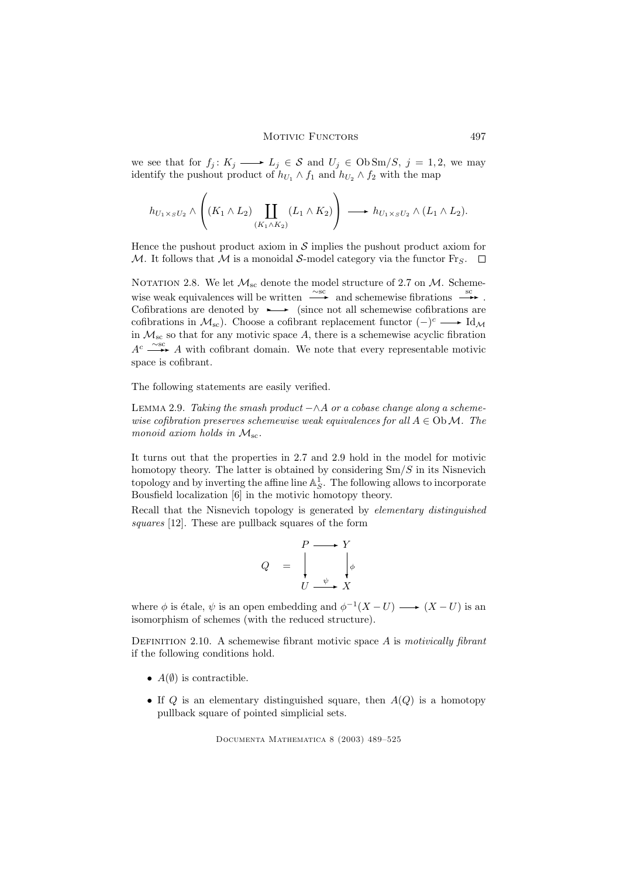we see that for  $f_j: K_j \longrightarrow L_j \in \mathcal{S}$  and  $U_j \in \text{Ob} \text{Sm}/S, j = 1, 2$ , we may identify the pushout product of  $h_{U_1} \wedge f_1$  and  $h_{U_2} \wedge f_2$  with the map

$$
h_{U_1 \times_S U_2} \wedge \left( (K_1 \wedge L_2) \coprod_{(K_1 \wedge K_2)} (L_1 \wedge K_2) \right) \longrightarrow h_{U_1 \times_S U_2} \wedge (L_1 \wedge L_2).
$$

Hence the pushout product axiom in  $\mathcal S$  implies the pushout product axiom for M. It follows that M is a monoidal S-model category via the functor Fr<sub>S</sub>.  $\Box$ 

NOTATION 2.8. We let  $\mathcal{M}_{\text{sc}}$  denote the model structure of 2.7 on  $\mathcal{M}$ . Schemewise weak equivalences will be written  $\frac{\sim}{\bullet}$  and schemewise fibrations  $\frac{sc}{\bullet}$ . Cofibrations are denoted by  $\rightarrow$  (since not all schemewise cofibrations are cofibrations in  $\mathcal{M}_{sc}$ ). Choose a cofibrant replacement functor  $(-)^c \longrightarrow \text{Id}_{\mathcal{M}}$ in  $\mathcal{M}_{\text{sc}}$  so that for any motivic space A, there is a schemewise acyclic fibration  $A<sup>c</sup>$  →  $\rightarrow$  A with cofibrant domain. We note that every representable motivic space is cofibrant.

The following statements are easily verified.

LEMMA 2.9. Taking the smash product  $-\wedge A$  or a cobase change along a schemewise cofibration preserves schemewise weak equivalences for all  $A \in \mathrm{Ob}\,\mathcal{M}$ . The monoid axiom holds in  $\mathcal{M}_{\text{sc}}$ .

It turns out that the properties in 2.7 and 2.9 hold in the model for motivic homotopy theory. The latter is obtained by considering  $Sm/S$  in its Nisnevich topology and by inverting the affine line  $\mathbb{A}^1_S$ . The following allows to incorporate Bousfield localization [6] in the motivic homotopy theory.

Recall that the Nisnevich topology is generated by elementary distinguished squares [12]. These are pullback squares of the form

$$
Q = \begin{array}{c} P \longrightarrow Y \\ \downarrow \\ U \xrightarrow{\psi} X \end{array}
$$

where  $\phi$  is étale,  $\psi$  is an open embedding and  $\phi^{-1}(X-U) \longrightarrow (X-U)$  is an isomorphism of schemes (with the reduced structure).

DEFINITION 2.10. A schemewise fibrant motivic space  $A$  is motivically fibrant if the following conditions hold.

- $A(\emptyset)$  is contractible.
- If  $Q$  is an elementary distinguished square, then  $A(Q)$  is a homotopy pullback square of pointed simplicial sets.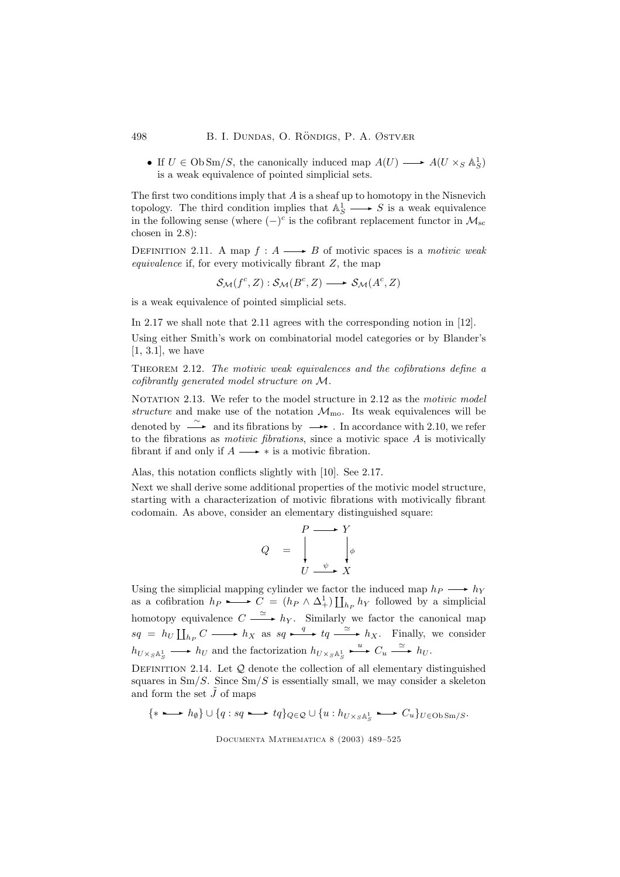• If  $U \in \text{Ob } \text{Sm}/S$ , the canonically induced map  $A(U) \longrightarrow A(U \times_S \mathbb{A}^1_S)$ is a weak equivalence of pointed simplicial sets.

The first two conditions imply that  $A$  is a sheaf up to homotopy in the Nisnevich topology. The third condition implies that  $\mathbb{A}^1_S \longrightarrow S$  is a weak equivalence in the following sense (where  $(-)^c$  is the cofibrant replacement functor in  $\mathcal{M}_{\rm sc}$ chosen in 2.8):

DEFINITION 2.11. A map  $f : A \longrightarrow B$  of motivic spaces is a *motivic weak* equivalence if, for every motivically fibrant  $Z$ , the map

 $\mathcal{S}_{\mathcal{M}}(f^c, Z) : \mathcal{S}_{\mathcal{M}}(B^c, Z) \longrightarrow \mathcal{S}_{\mathcal{M}}(A^c, Z)$ 

is a weak equivalence of pointed simplicial sets.

In 2.17 we shall note that 2.11 agrees with the corresponding notion in [12]. Using either Smith's work on combinatorial model categories or by Blander's [1, 3.1], we have

Theorem 2.12. The motivic weak equivalences and the cofibrations define a cofibrantly generated model structure on M.

NOTATION 2.13. We refer to the model structure in 2.12 as the motivic model structure and make use of the notation  $\mathcal{M}_{\text{mo}}$ . Its weak equivalences will be denoted by  $\stackrel{\sim}{\longrightarrow}$  and its fibrations by  $\longrightarrow$  . In accordance with 2.10, we refer to the fibrations as *motivic fibrations*, since a motivic space  $A$  is motivically fibrant if and only if  $A \longrightarrow *$  is a motivic fibration.

Alas, this notation conflicts slightly with [10]. See 2.17.

Next we shall derive some additional properties of the motivic model structure, starting with a characterization of motivic fibrations with motivically fibrant codomain. As above, consider an elementary distinguished square:

$$
Q = \begin{array}{c} P \longrightarrow Y \\ \downarrow \\ U \longrightarrow X \end{array}
$$

Using the simplicial mapping cylinder we factor the induced map  $h_P \longrightarrow h_Y$ as a cofibration  $h_P \longrightarrow C = (h_P \wedge \Delta_+^1) \coprod_{h_P} h_Y$  followed by a simplicial homotopy equivalence  $C \xrightarrow{\simeq} h_Y$ . Similarly we factor the canonical map  $sq = h_U \coprod_{h_P} C \longrightarrow h_X$  as  $sq \xrightarrow{q} tq \xrightarrow{\simeq} h_X$ . Finally, we consider  $h_{U\times_S \mathbb{A}^1_S} \longrightarrow h_U$  and the factorization  $h_{U\times_S \mathbb{A}^1_S} \longrightarrow C_u \longrightarrow h_U$ .

DEFINITION 2.14. Let  $Q$  denote the collection of all elementary distinguished squares in  $\text{Sm}/S$ . Since  $\text{Sm}/S$  is essentially small, we may consider a skeleton and form the set  $\tilde{J}$  of maps

$$
\{*\longmapsto h_{\emptyset}\}\cup\{q:sq\longmapsto tq\}_{Q\in\mathcal{Q}}\cup\{u:h_{U\times_S\mathbb{A}^1_S}\longmapsto C_u\}_{U\in \mbox{Ob}\operatorname{Sm}/S}.
$$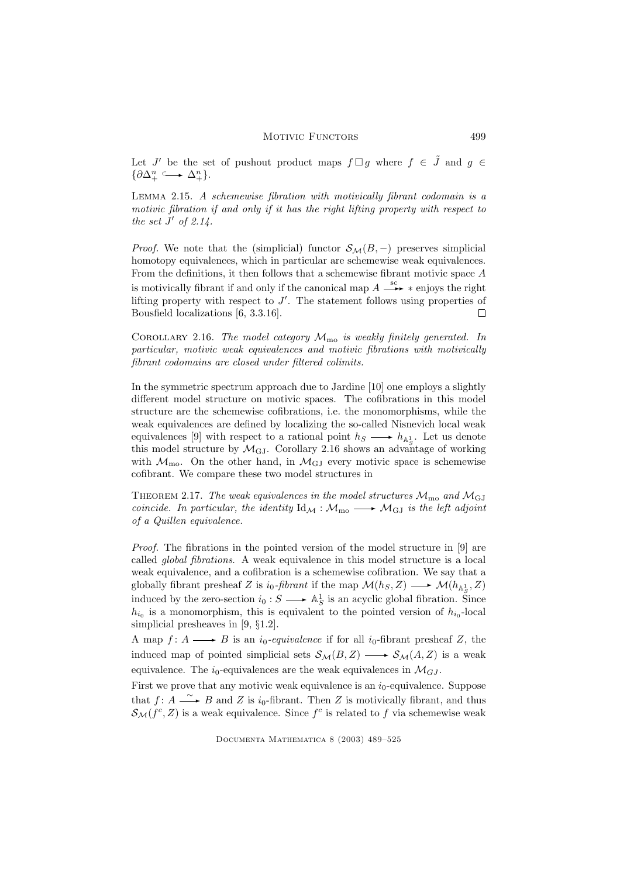Let J' be the set of pushout product maps  $f \Box g$  where  $f \in \tilde{J}$  and  $g \in$  $\{\partial \Delta_+^n \longrightarrow \Delta_+^n\}.$ 

Lemma 2.15. A schemewise fibration with motivically fibrant codomain is a motivic fibration if and only if it has the right lifting property with respect to the set  $J'$  of 2.14.

*Proof.* We note that the (simplicial) functor  $S_{\mathcal{M}}(B, -)$  preserves simplicial homotopy equivalences, which in particular are schemewise weak equivalences. From the definitions, it then follows that a schemewise fibrant motivic space A is motivically fibrant if and only if the canonical map  $A \xrightarrow{sc} *$  enjoys the right lifting property with respect to  $J'$ . The statement follows using properties of Bousfield localizations [6, 3.3.16].  $\Box$ 

COROLLARY 2.16. The model category  $\mathcal{M}_{\text{mo}}$  is weakly finitely generated. In particular, motivic weak equivalences and motivic fibrations with motivically fibrant codomains are closed under filtered colimits.

In the symmetric spectrum approach due to Jardine [10] one employs a slightly different model structure on motivic spaces. The cofibrations in this model structure are the schemewise cofibrations, i.e. the monomorphisms, while the weak equivalences are defined by localizing the so-called Nisnevich local weak equivalences [9] with respect to a rational point  $h_S \longrightarrow h_{\mathbb{A}^1_S}$ . Let us denote this model structure by  $\mathcal{M}_{GJ}$ . Corollary 2.16 shows an advantage of working with  $\mathcal{M}_{\text{mo}}$ . On the other hand, in  $\mathcal{M}_{\text{GJ}}$  every motivic space is schemewise cofibrant. We compare these two model structures in

THEOREM 2.17. The weak equivalences in the model structures  $\mathcal{M}_{\text{mo}}$  and  $\mathcal{M}_{\text{GL}}$ coincide. In particular, the identity  $\mathrm{Id}_{\mathcal{M}} : \mathcal{M}_{\text{mo}} \longrightarrow \mathcal{M}_{\text{GJ}}$  is the left adjoint of a Quillen equivalence.

Proof. The fibrations in the pointed version of the model structure in [9] are called global fibrations. A weak equivalence in this model structure is a local weak equivalence, and a cofibration is a schemewise cofibration. We say that a globally fibrant presheaf Z is  $i_0$ -fibrant if the map  $\mathcal{M}(h_S, Z) \longrightarrow \mathcal{M}(h_{\mathbb{A}^1_S}, Z)$ induced by the zero-section  $i_0 : S \longrightarrow \mathbb{A}^1_S$  is an acyclic global fibration. Since  $h_{i_0}$  is a monomorphism, this is equivalent to the pointed version of  $h_{i_0}$ -local simplicial presheaves in [9, §1.2].

A map  $f: A \longrightarrow B$  is an  $i_0$ -equivalence if for all  $i_0$ -fibrant presheaf Z, the induced map of pointed simplicial sets  $\mathcal{S}_{\mathcal{M}}(B, Z) \longrightarrow \mathcal{S}_{\mathcal{M}}(A, Z)$  is a weak equivalence. The  $i_0$ -equivalences are the weak equivalences in  $\mathcal{M}_{GJ}$ .

First we prove that any motivic weak equivalence is an  $i_0$ -equivalence. Suppose that  $f: A \longrightarrow B$  and Z is  $i_0$ -fibrant. Then Z is motivically fibrant, and thus  $\mathcal{S}_{\mathcal{M}}(f^c, Z)$  is a weak equivalence. Since  $f^c$  is related to f via schemewise weak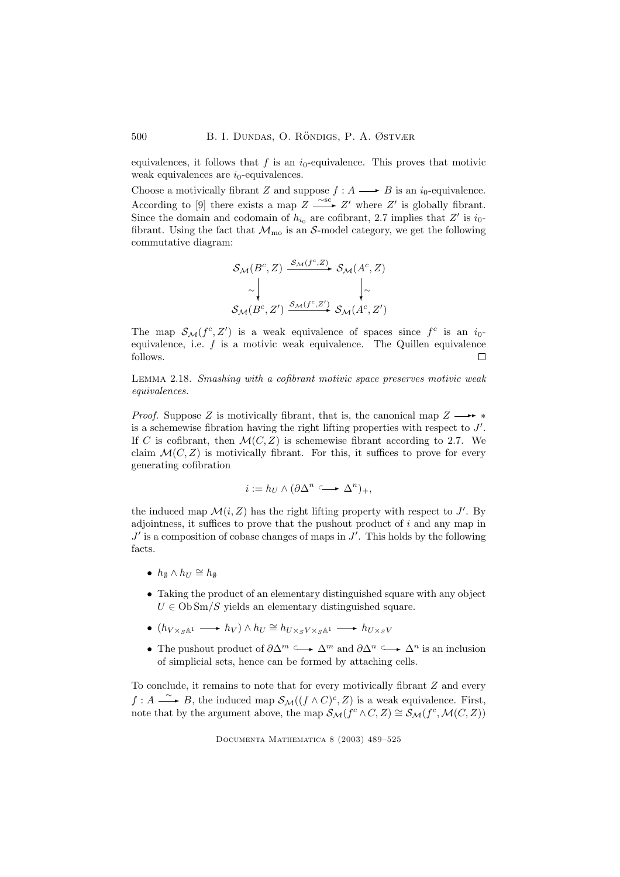equivalences, it follows that f is an  $i_0$ -equivalence. This proves that motivic weak equivalences are  $i_0$ -equivalences.

Choose a motivically fibrant Z and suppose  $f : A \longrightarrow B$  is an  $i_0$ -equivalence. According to [9] there exists a map  $Z \xrightarrow{\sim sc} Z'$  where  $Z'$  is globally fibrant. Since the domain and codomain of  $h_{i_0}$  are cofibrant, 2.7 implies that Z' is  $i_0$ fibrant. Using the fact that  $\mathcal{M}_{\text{mo}}$  is an S-model category, we get the following commutative diagram:

$$
\mathcal{S}_{\mathcal{M}}(B^c, Z) \xrightarrow{\mathcal{S}_{\mathcal{M}}(f^c, Z)} \mathcal{S}_{\mathcal{M}}(A^c, Z)
$$
\n
$$
\sim \begin{vmatrix}\n\downarrow & \downarrow \\
\downarrow & \downarrow \\
\mathcal{S}_{\mathcal{M}}(B^c, Z') \xrightarrow{\mathcal{S}_{\mathcal{M}}(f^c, Z')} \mathcal{S}_{\mathcal{M}}(A^c, Z')\n\end{vmatrix}
$$

The map  $S_{\mathcal{M}}(f^c, Z')$  is a weak equivalence of spaces since  $f^c$  is an  $i_0$ equivalence, i.e.  $f$  is a motivic weak equivalence. The Quillen equivalence follows.  $\Box$ 

Lemma 2.18. Smashing with a cofibrant motivic space preserves motivic weak equivalences.

*Proof.* Suppose Z is motivically fibrant, that is, the canonical map  $Z \longrightarrow *$ is a schemewise fibration having the right lifting properties with respect to  $J'$ . If C is cofibrant, then  $\mathcal{M}(C, Z)$  is schemewise fibrant according to 2.7. We claim  $\mathcal{M}(C, Z)$  is motivically fibrant. For this, it suffices to prove for every generating cofibration

$$
i:=h_U\wedge(\partial\Delta^n\stackrel{\sigma}{\longrightarrow}\Delta^n)_+,
$$

the induced map  $\mathcal{M}(i, Z)$  has the right lifting property with respect to J'. By adjointness, it suffices to prove that the pushout product of  $i$  and any map in  $J'$  is a composition of cobase changes of maps in  $J'$ . This holds by the following facts.

- $h_{\emptyset} \wedge h_{U} \cong h_{\emptyset}$
- Taking the product of an elementary distinguished square with any object  $U \in \text{Ob} \text{Sm}/S$  yields an elementary distinguished square.
- $(h_{V \times_S \mathbb{A}^1} \longrightarrow h_V) \wedge h_U \cong h_{U \times_S V \times_S \mathbb{A}^1} \longrightarrow h_{U \times_S V}$
- The pushout product of  $\partial \Delta^m \longrightarrow \Delta^m$  and  $\partial \Delta^n \longrightarrow \Delta^n$  is an inclusion of simplicial sets, hence can be formed by attaching cells.

To conclude, it remains to note that for every motivically fibrant Z and every  $f: A \longrightarrow B$ , the induced map  $\mathcal{S}_{\mathcal{M}}((f \wedge C)^c, Z)$  is a weak equivalence. First, note that by the argument above, the map  $S_{\mathcal{M}}(f^c \wedge C, Z) \cong S_{\mathcal{M}}(f^c, \mathcal{M}(C, Z))$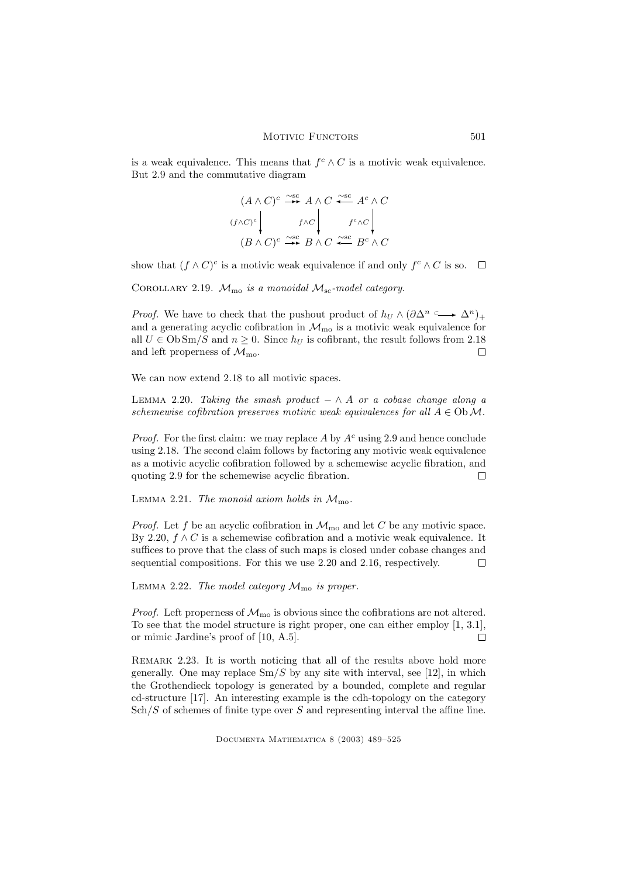is a weak equivalence. This means that  $f^c \wedge C$  is a motivic weak equivalence. But 2.9 and the commutative diagram

$$
(A \wedge C)^c \xrightarrow{\sim sc} A \wedge C \xrightarrow{\sim sc} A^c \wedge C
$$
  

$$
(f \wedge C)^c \downarrow f \wedge C \downarrow f^c \wedge C
$$
  

$$
(B \wedge C)^c \xrightarrow{\sim sc} B \wedge C \xrightarrow{\sim sc} B^c \wedge C
$$

show that  $(f \wedge C)^c$  is a motivic weak equivalence if and only  $f^c \wedge C$  is so.

COROLLARY 2.19.  $\mathcal{M}_{\text{mo}}$  is a monoidal  $\mathcal{M}_{\text{sc}}$ -model category.

*Proof.* We have to check that the pushout product of  $h_U \wedge (\partial \Delta^n \subseteq \longrightarrow \Delta^n)_+$ and a generating acyclic cofibration in  $\mathcal{M}_{\text{mo}}$  is a motivic weak equivalence for all  $U \in \mathrm{Ob} \mathrm{Sm}/S$  and  $n \geq 0$ . Since  $h_U$  is cofibrant, the result follows from 2.18 and left properness of  $\mathcal{M}_{\text{mo}}$ .  $\Box$ 

We can now extend 2.18 to all motivic spaces.

LEMMA 2.20. Taking the smash product  $-\wedge A$  or a cobase change along a schemewise cofibration preserves motivic weak equivalences for all  $A \in \mathrm{Ob}\,\mathcal{M}$ .

*Proof.* For the first claim: we may replace A by  $A<sup>c</sup>$  using 2.9 and hence conclude using 2.18. The second claim follows by factoring any motivic weak equivalence as a motivic acyclic cofibration followed by a schemewise acyclic fibration, and quoting 2.9 for the schemewise acyclic fibration. П

LEMMA 2.21. The monoid axiom holds in  $\mathcal{M}_{\text{mo}}$ .

*Proof.* Let f be an acyclic cofibration in  $\mathcal{M}_{\text{mo}}$  and let C be any motivic space. By 2.20,  $f \wedge C$  is a schemewise cofibration and a motivic weak equivalence. It suffices to prove that the class of such maps is closed under cobase changes and sequential compositions. For this we use 2.20 and 2.16, respectively.  $\Box$ 

LEMMA 2.22. The model category  $\mathcal{M}_{\text{mo}}$  is proper.

*Proof.* Left properness of  $\mathcal{M}_{\text{mo}}$  is obvious since the cofibrations are not altered. To see that the model structure is right proper, one can either employ [1, 3.1], or mimic Jardine's proof of [10, A.5].  $\Box$ 

REMARK 2.23. It is worth noticing that all of the results above hold more generally. One may replace  $\text{Sm}/S$  by any site with interval, see [12], in which the Grothendieck topology is generated by a bounded, complete and regular cd-structure [17]. An interesting example is the cdh-topology on the category  $\text{Sch}/S$  of schemes of finite type over S and representing interval the affine line.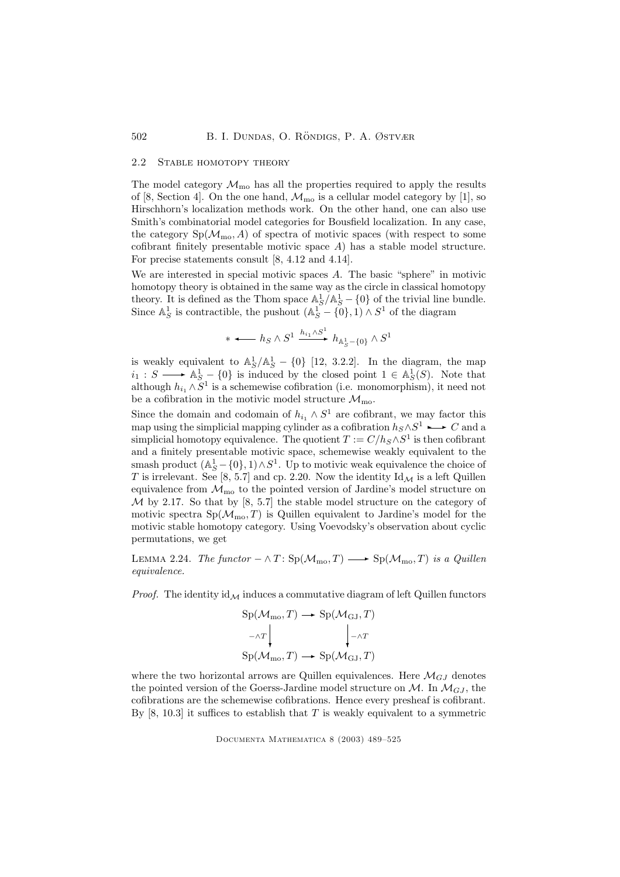#### 2.2 Stable homotopy theory

The model category  $\mathcal{M}_{\text{mo}}$  has all the properties required to apply the results of [8, Section 4]. On the one hand,  $\mathcal{M}_{\text{mo}}$  is a cellular model category by [1], so Hirschhorn's localization methods work. On the other hand, one can also use Smith's combinatorial model categories for Bousfield localization. In any case, the category  $Sp(\mathcal{M}_{mo}, A)$  of spectra of motivic spaces (with respect to some cofibrant finitely presentable motivic space  $A$ ) has a stable model structure. For precise statements consult [8, 4.12 and 4.14].

We are interested in special motivic spaces A. The basic "sphere" in motivic homotopy theory is obtained in the same way as the circle in classical homotopy theory. It is defined as the Thom space  $\mathbb{A}_{S}^{1}/\mathbb{A}_{S}^{1} - \{0\}$  of the trivial line bundle. Since  $\mathbb{A}^1_S$  is contractible, the pushout  $(\mathbb{A}^1_S - \{0\}, 1) \wedge S^1$  of the diagram

$$
\ast \longleftarrow h_S \wedge S^1 \xrightarrow{h_{i_1} \wedge S^1} h_{\mathbb{A}^1_S - \{0\}} \wedge S^1
$$

is weakly equivalent to  $\mathbb{A}_{S}^{1}/\mathbb{A}_{S}^{1} - \{0\}$  [12, 3.2.2]. In the diagram, the map  $i_1 : S \longrightarrow \mathbb{A}^1_S - \{0\}$  is induced by the closed point  $1 \in \mathbb{A}^1_S(S)$ . Note that although  $h_{i_1} \wedge S^1$  is a schemewise cofibration (i.e. monomorphism), it need not be a cofibration in the motivic model structure  $\mathcal{M}_{\text{mo}}$ .

Since the domain and codomain of  $h_{i_1} \wedge S^1$  are cofibrant, we may factor this map using the simplicial mapping cylinder as a cofibration  $h_S \wedge S^1 \longrightarrow C$  and a simplicial homotopy equivalence. The quotient  $T := C/h_S \wedge S^1$  is then cofibrant and a finitely presentable motivic space, schemewise weakly equivalent to the smash product  $(\mathbb{A}_{S}^{1} - \{0\}, 1) \wedge S^{1}$ . Up to motivic weak equivalence the choice of T is irrelevant. See [8, 5.7] and cp. 2.20. Now the identity  $\mathrm{Id}_{\mathcal{M}}$  is a left Quillen equivalence from  $\mathcal{M}_{\text{mo}}$  to the pointed version of Jardine's model structure on  $\mathcal M$  by 2.17. So that by [8, 5.7] the stable model structure on the category of motivic spectra  $Sp(\mathcal{M}_{mo}, T)$  is Quillen equivalent to Jardine's model for the motivic stable homotopy category. Using Voevodsky's observation about cyclic permutations, we get

LEMMA 2.24. The functor  $-\wedge T: Sp(\mathcal{M}_{\text{mo}}, T) \longrightarrow Sp(\mathcal{M}_{\text{mo}}, T)$  is a Quillen equivalence.

*Proof.* The identity  $id_{\mathcal{M}}$  induces a commutative diagram of left Quillen functors

$$
Sp(\mathcal{M}_{mo}, T) \longrightarrow Sp(\mathcal{M}_{GJ}, T)
$$

$$
\neg \land T \downarrow \qquad \qquad \downarrow \neg \land T
$$

$$
Sp(\mathcal{M}_{mo}, T) \longrightarrow Sp(\mathcal{M}_{GJ}, T)
$$

where the two horizontal arrows are Quillen equivalences. Here  $\mathcal{M}_{GJ}$  denotes the pointed version of the Goerss-Jardine model structure on  $\mathcal{M}$ . In  $\mathcal{M}_{GJ}$ , the cofibrations are the schemewise cofibrations. Hence every presheaf is cofibrant. By  $[8, 10.3]$  it suffices to establish that T is weakly equivalent to a symmetric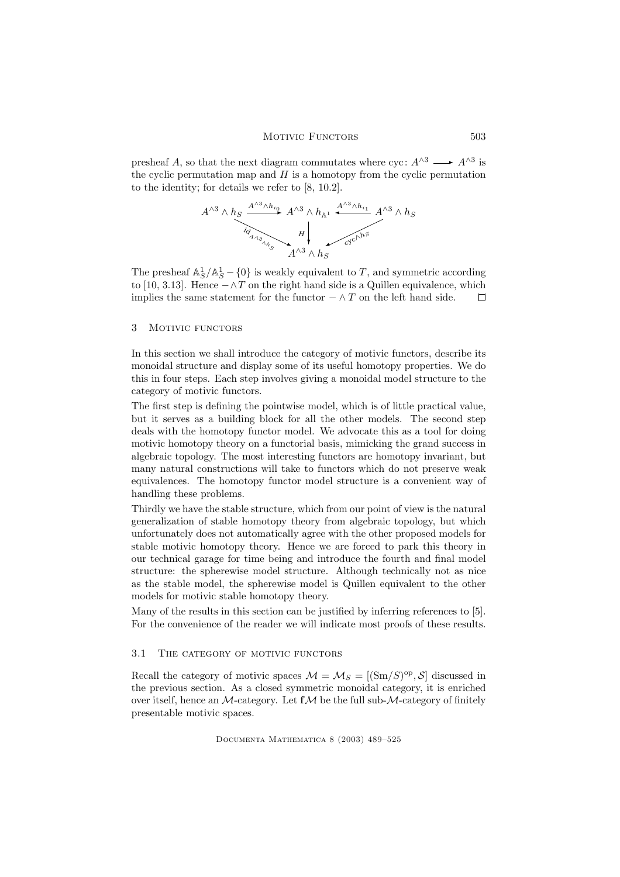presheaf A, so that the next diagram commutates where cyc:  $A^{\wedge 3} \longrightarrow A^{\wedge 3}$  is the cyclic permutation map and  $H$  is a homotopy from the cyclic permutation to the identity; for details we refer to [8, 10.2].

$$
A^{\wedge 3}\wedge h_S \xrightarrow{\underset{\mathcal{U}_{\mathcal{A}_{\gamma_{\beta_{\gamma_{\alpha_{\gamma_{\gamma_{\gamma_{\gamma_{\gamma}}}}}}}}}}{A^{\wedge 3}}{A^{\wedge 3}}\wedge h_{\mathbb{A}^1}}}} A^{\wedge 3}\wedge h_S \xrightarrow{\underset{\mathcal{U}_{\mathcal{V}}\cap^{\mathrm{N}^5}{A^{\wedge 3}}\wedge h_S}} A^{\wedge 3}\wedge h_S
$$

The presheaf  $\mathbb{A}_{S}^{1}/\mathbb{A}_{S}^{1} - \{0\}$  is weakly equivalent to T, and symmetric according to [10, 3.13]. Hence  $-\wedge T$  on the right hand side is a Quillen equivalence, which implies the same statement for the functor  $-\wedge T$  on the left hand side.  $\Box$ 

# 3 Motivic functors

In this section we shall introduce the category of motivic functors, describe its monoidal structure and display some of its useful homotopy properties. We do this in four steps. Each step involves giving a monoidal model structure to the category of motivic functors.

The first step is defining the pointwise model, which is of little practical value, but it serves as a building block for all the other models. The second step deals with the homotopy functor model. We advocate this as a tool for doing motivic homotopy theory on a functorial basis, mimicking the grand success in algebraic topology. The most interesting functors are homotopy invariant, but many natural constructions will take to functors which do not preserve weak equivalences. The homotopy functor model structure is a convenient way of handling these problems.

Thirdly we have the stable structure, which from our point of view is the natural generalization of stable homotopy theory from algebraic topology, but which unfortunately does not automatically agree with the other proposed models for stable motivic homotopy theory. Hence we are forced to park this theory in our technical garage for time being and introduce the fourth and final model structure: the spherewise model structure. Although technically not as nice as the stable model, the spherewise model is Quillen equivalent to the other models for motivic stable homotopy theory.

Many of the results in this section can be justified by inferring references to [5]. For the convenience of the reader we will indicate most proofs of these results.

# 3.1 The category of motivic functors

Recall the category of motivic spaces  $\mathcal{M} = \mathcal{M}_S = [(\text{Sm}/S)^{\text{op}}, \mathcal{S}]$  discussed in the previous section. As a closed symmetric monoidal category, it is enriched over itself, hence an  $M$ -category. Let  $f \mathcal{M}$  be the full sub- $M$ -category of finitely presentable motivic spaces.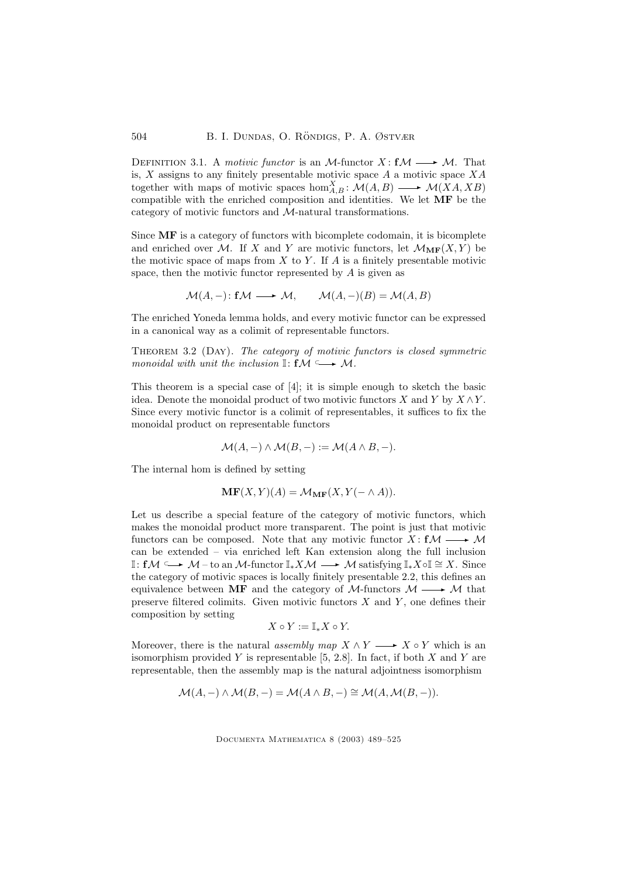DEFINITION 3.1. A motivic functor is an M-functor  $X: f\mathcal{M} \longrightarrow \mathcal{M}$ . That is,  $X$  assigns to any finitely presentable motivic space  $A$  a motivic space  $XA$ together with maps of motivic spaces  $hom_{A,B}^X : \mathcal{M}(A,B) \longrightarrow \mathcal{M}(XA,XB)$ compatible with the enriched composition and identities. We let MF be the category of motivic functors and M-natural transformations.

Since MF is a category of functors with bicomplete codomain, it is bicomplete and enriched over M. If X and Y are motivic functors, let  $\mathcal{M}_{MF}(X, Y)$  be the motivic space of maps from  $X$  to  $Y$ . If  $A$  is a finitely presentable motivic space, then the motivic functor represented by  $A$  is given as

$$
\mathcal{M}(A, -) \colon f\mathcal{M} \longrightarrow \mathcal{M}, \qquad \mathcal{M}(A, -)(B) = \mathcal{M}(A, B)
$$

The enriched Yoneda lemma holds, and every motivic functor can be expressed in a canonical way as a colimit of representable functors.

Theorem 3.2 (Day). The category of motivic functors is closed symmetric monoidal with unit the inclusion  $\mathbb{I}: f \mathcal{M} \longrightarrow \mathcal{M}$ .

This theorem is a special case of [4]; it is simple enough to sketch the basic idea. Denote the monoidal product of two motivic functors X and Y by  $X \wedge Y$ . Since every motivic functor is a colimit of representables, it suffices to fix the monoidal product on representable functors

$$
\mathcal{M}(A,-) \wedge \mathcal{M}(B,-) := \mathcal{M}(A \wedge B,-).
$$

The internal hom is defined by setting

$$
\mathbf{MF}(X,Y)(A) = \mathcal{M}_{\mathbf{MF}}(X, Y(- \wedge A)).
$$

Let us describe a special feature of the category of motivic functors, which makes the monoidal product more transparent. The point is just that motivic functors can be composed. Note that any motivic functor  $X: f\mathcal{M} \longrightarrow \mathcal{M}$ can be extended – via enriched left Kan extension along the full inclusion I: f $\mathcal{M} \hookrightarrow \mathcal{M}$  – to an  $\mathcal{M}$ -functor  $\mathbb{I}_*X\mathcal{M} \longrightarrow \mathcal{M}$  satisfying  $\mathbb{I}_*X \circ \mathbb{I} \cong X$ . Since the category of motivic spaces is locally finitely presentable 2.2, this defines an equivalence between MF and the category of  $\mathcal{M}$ -functors  $\mathcal{M} \longrightarrow \mathcal{M}$  that preserve filtered colimits. Given motivic functors  $X$  and  $Y$ , one defines their composition by setting

$$
X \circ Y := \mathbb{I}_{*} X \circ Y.
$$

Moreover, there is the natural assembly map  $X \wedge Y \longrightarrow X \circ Y$  which is an isomorphism provided Y is representable  $[5, 2.8]$ . In fact, if both X and Y are representable, then the assembly map is the natural adjointness isomorphism

$$
\mathcal{M}(A,-) \wedge \mathcal{M}(B,-) = \mathcal{M}(A \wedge B,-) \cong \mathcal{M}(A, \mathcal{M}(B,-)).
$$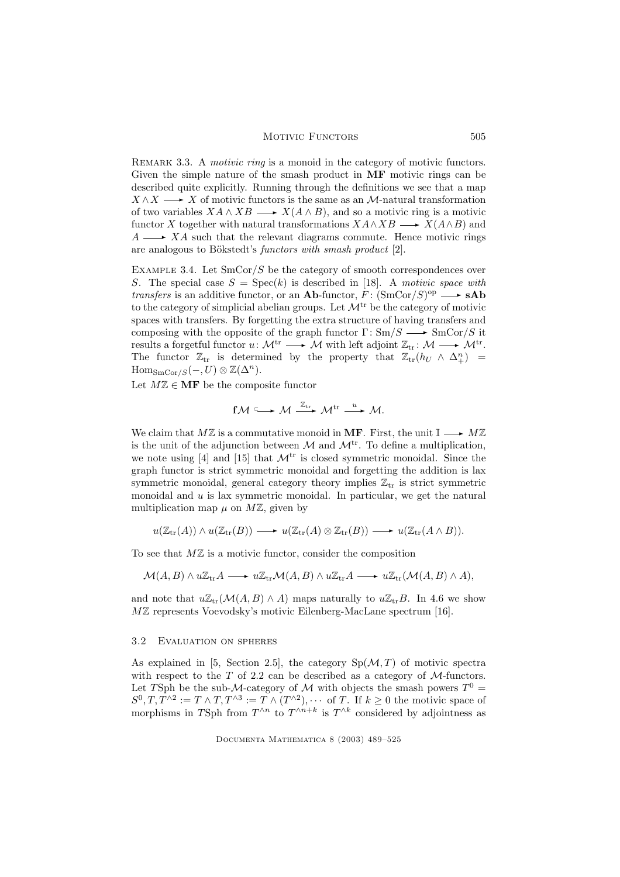### MOTIVIC FUNCTORS 505

REMARK 3.3. A motivic ring is a monoid in the category of motivic functors. Given the simple nature of the smash product in MF motivic rings can be described quite explicitly. Running through the definitions we see that a map  $X \wedge X \longrightarrow X$  of motivic functors is the same as an M-natural transformation of two variables  $X A \wedge X B \longrightarrow X(A \wedge B)$ , and so a motivic ring is a motivic functor X together with natural transformations  $X\mathcal{A}\wedge X\mathcal{B} \longrightarrow X(\mathcal{A}\wedge \mathcal{B})$  and  $A \longrightarrow XA$  such that the relevant diagrams commute. Hence motivic rings are analogous to Bökstedt's *functors with smash product*  $[2]$ .

EXAMPLE 3.4. Let  $\text{SmCor}/S$  be the category of smooth correspondences over S. The special case  $S = \text{Spec}(k)$  is described in [18]. A motivic space with *transfers* is an additive functor, or an **Ab**-functor,  $F: (\text{SmCor}/S)^{op} \longrightarrow$ **sAb** to the category of simplicial abelian groups. Let  $\mathcal{M}^{tr}$  be the category of motivic spaces with transfers. By forgetting the extra structure of having transfers and composing with the opposite of the graph functor  $\Gamma: \text{Sm}/S \longrightarrow \text{SmCor}/S$  it results a forgetful functor  $u \colon \mathcal{M}^{tr} \longrightarrow \mathcal{M}$  with left adjoint  $\mathbb{Z}_{tr} \colon \mathcal{M} \longrightarrow \mathcal{M}^{tr}$ . The functor  $\mathbb{Z}_{tr}$  is determined by the property that  $\mathbb{Z}_{tr}(h_U \wedge \Delta_+^n) =$  $\text{Hom}_{\text{SmCor}/S}(-, U) \otimes \mathbb{Z}(\Delta^n).$ 

Let  $M\mathbb{Z} \in \mathbf{MF}$  be the composite functor

$$
f\mathcal{M} \xrightarrow{\mathcal{M}} \mathcal{M} \xrightarrow{\mathbb{Z}_{tr}} \mathcal{M}^{tr} \xrightarrow{u} \mathcal{M}.
$$

We claim that  $M\mathbb{Z}$  is a commutative monoid in MF. First, the unit  $\mathbb{I} \longrightarrow M\mathbb{Z}$ is the unit of the adjunction between  $\mathcal M$  and  $\mathcal M^{tr}$ . To define a multiplication, we note using [4] and [15] that  $\mathcal{M}^{\text{tr}}$  is closed symmetric monoidal. Since the graph functor is strict symmetric monoidal and forgetting the addition is lax symmetric monoidal, general category theory implies  $\mathbb{Z}_{tr}$  is strict symmetric monoidal and  $u$  is lax symmetric monoidal. In particular, we get the natural multiplication map  $\mu$  on  $M\mathbb{Z}$ , given by

$$
u(\mathbb{Z}_{\operatorname{tr}}(A)) \wedge u(\mathbb{Z}_{\operatorname{tr}}(B)) \longrightarrow u(\mathbb{Z}_{\operatorname{tr}}(A) \otimes \mathbb{Z}_{\operatorname{tr}}(B)) \longrightarrow u(\mathbb{Z}_{\operatorname{tr}}(A \wedge B)).
$$

To see that  $M\mathbb{Z}$  is a motivic functor, consider the composition

$$
\mathcal{M}(A,B) \wedge u\mathbb{Z}_{\text{tr}}A \longrightarrow u\mathbb{Z}_{\text{tr}}\mathcal{M}(A,B) \wedge u\mathbb{Z}_{\text{tr}}A \longrightarrow u\mathbb{Z}_{\text{tr}}(\mathcal{M}(A,B) \wedge A),
$$

and note that  $u\mathbb{Z}_{tr}(\mathcal{M}(A, B) \wedge A)$  maps naturally to  $u\mathbb{Z}_{tr}B$ . In 4.6 we show MZ represents Voevodsky's motivic Eilenberg-MacLane spectrum [16].

### 3.2 Evaluation on spheres

As explained in [5, Section 2.5], the category  $Sp(\mathcal{M}, T)$  of motivic spectra with respect to the  $T$  of 2.2 can be described as a category of  $M$ -functors. Let TSph be the sub-M-category of M with objects the smash powers  $T^0 =$  $S^0, T, T^{\wedge 2} := T \wedge T, T^{\wedge 3} := T \wedge (T^{\wedge 2}), \cdots$  of T. If  $k \geq 0$  the motivic space of morphisms in TSph from  $T^{\wedge n}$  to  $T^{\wedge n+k}$  is  $T^{\wedge k}$  considered by adjointness as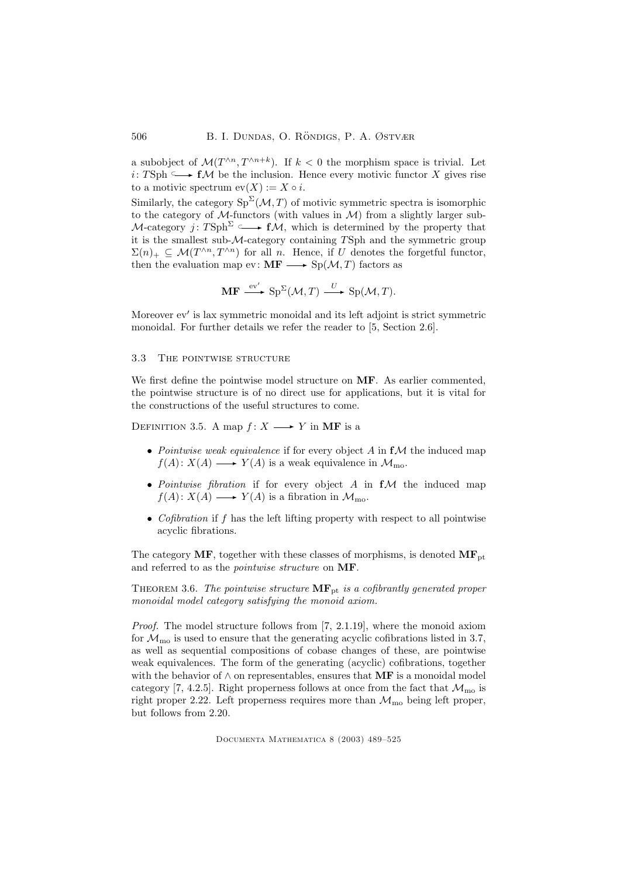a subobject of  $\mathcal{M}(T^{\wedge n}, T^{\wedge n+k})$ . If  $k < 0$  the morphism space is trivial. Let *i*: TSph  $\subseteq$  **f**M be the inclusion. Hence every motivic functor X gives rise to a motivic spectrum  $ev(X) := X \circ i$ .

Similarly, the category  $Sp^{\Sigma}(\mathcal{M},T)$  of motivic symmetric spectra is isomorphic to the category of  $M$ -functors (with values in  $M$ ) from a slightly larger sub-M-category j: TSph<sup>2</sup>  $\longmapsto f\mathcal{M}$ , which is determined by the property that it is the smallest sub-M-category containing TSph and the symmetric group  $\Sigma(n)_+ \subseteq \mathcal{M}(T^{\wedge n}, T^{\wedge n})$  for all n. Hence, if U denotes the forgetful functor, then the evaluation map ev:  $\mathbf{MF} \longrightarrow \mathrm{Sp}(\mathcal{M}, T)$  factors as

$$
\mathbf{MF} \xrightarrow{\text{ev}'} \text{Sp}^{\Sigma}(\mathcal{M}, T) \xrightarrow{U} \text{Sp}(\mathcal{M}, T).
$$

Moreover ev′ is lax symmetric monoidal and its left adjoint is strict symmetric monoidal. For further details we refer the reader to [5, Section 2.6].

# 3.3 THE POINTWISE STRUCTURE

We first define the pointwise model structure on **MF**. As earlier commented, the pointwise structure is of no direct use for applications, but it is vital for the constructions of the useful structures to come.

DEFINITION 3.5. A map  $f: X \longrightarrow Y$  in MF is a

- Pointwise weak equivalence if for every object  $A$  in  $f\mathcal{M}$  the induced map  $f(A): X(A) \longrightarrow Y(A)$  is a weak equivalence in  $\mathcal{M}_{\text{mo}}$ .
- Pointwise fibration if for every object  $A$  in  $f$  $M$  the induced map  $f(A): X(A) \longrightarrow Y(A)$  is a fibration in  $\mathcal{M}_{\text{mo}}$ .
- Cofibration if  $f$  has the left lifting property with respect to all pointwise acyclic fibrations.

The category  $MF$ , together with these classes of morphisms, is denoted  $MF_{pt}$ and referred to as the pointwise structure on MF.

THEOREM 3.6. The pointwise structure  $\mathbf{MF}_{\mathrm{pt}}$  is a cofibrantly generated proper monoidal model category satisfying the monoid axiom.

Proof. The model structure follows from [7, 2.1.19], where the monoid axiom for  $\mathcal{M}_{\text{mo}}$  is used to ensure that the generating acyclic cofibrations listed in 3.7, as well as sequential compositions of cobase changes of these, are pointwise weak equivalences. The form of the generating (acyclic) cofibrations, together with the behavior of  $\wedge$  on representables, ensures that **MF** is a monoidal model category [7, 4.2.5]. Right properness follows at once from the fact that  $\mathcal{M}_{\text{mo}}$  is right proper 2.22. Left properness requires more than  $\mathcal{M}_{\text{mo}}$  being left proper, but follows from 2.20.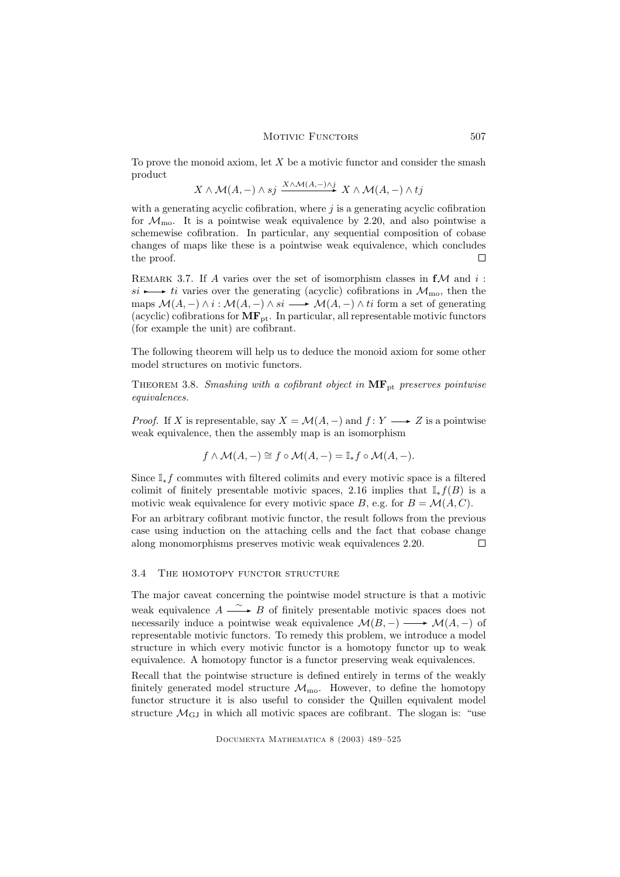#### MOTIVIC FUNCTORS 507

To prove the monoid axiom, let  $X$  be a motivic functor and consider the smash product

$$
X \wedge \mathcal{M}(A,-) \wedge sj \xrightarrow{X \wedge \mathcal{M}(A,-) \wedge j} X \wedge \mathcal{M}(A,-) \wedge tj
$$

with a generating acyclic cofibration, where  $j$  is a generating acyclic cofibration for  $\mathcal{M}_{\text{mo}}$ . It is a pointwise weak equivalence by 2.20, and also pointwise a schemewise cofibration. In particular, any sequential composition of cobase changes of maps like these is a pointwise weak equivalence, which concludes the proof.  $\Box$ 

REMARK 3.7. If A varies over the set of isomorphism classes in  $f$ M and i:  $si \rightarrow it$  varies over the generating (acyclic) cofibrations in  $\mathcal{M}_{\text{mo}}$ , then the maps  $\mathcal{M}(A, -) \wedge i : \mathcal{M}(A, -) \wedge si \longrightarrow \mathcal{M}(A, -) \wedge ti$  form a set of generating (acyclic) cofibrations for  $MF_{pt}$ . In particular, all representable motivic functors (for example the unit) are cofibrant.

The following theorem will help us to deduce the monoid axiom for some other model structures on motivic functors.

THEOREM 3.8. Smashing with a cofibrant object in  $\text{MF}_{\text{pt}}$  preserves pointwise equivalences.

*Proof.* If X is representable, say  $X = \mathcal{M}(A, -)$  and  $f: Y \longrightarrow Z$  is a pointwise weak equivalence, then the assembly map is an isomorphism

$$
f \wedge \mathcal{M}(A, -) \cong f \circ \mathcal{M}(A, -) = \mathbb{I}_{*} f \circ \mathcal{M}(A, -).
$$

Since  $\mathbb{I}_{*}f$  commutes with filtered colimits and every motivic space is a filtered colimit of finitely presentable motivic spaces, 2.16 implies that  $\mathbb{I}_* f(B)$  is a motivic weak equivalence for every motivic space B, e.g. for  $B = \mathcal{M}(A, C)$ .

For an arbitrary cofibrant motivic functor, the result follows from the previous case using induction on the attaching cells and the fact that cobase change along monomorphisms preserves motivic weak equivalences 2.20.  $\Box$ 

# 3.4 THE HOMOTOPY FUNCTOR STRUCTURE

The major caveat concerning the pointwise model structure is that a motivic weak equivalence  $A \xrightarrow{\sim} B$  of finitely presentable motivic spaces does not necessarily induce a pointwise weak equivalence  $\mathcal{M}(B, -) \longrightarrow \mathcal{M}(A, -)$  of representable motivic functors. To remedy this problem, we introduce a model structure in which every motivic functor is a homotopy functor up to weak equivalence. A homotopy functor is a functor preserving weak equivalences.

Recall that the pointwise structure is defined entirely in terms of the weakly finitely generated model structure  $\mathcal{M}_{\text{mo}}$ . However, to define the homotopy functor structure it is also useful to consider the Quillen equivalent model structure  $\mathcal{M}_{\text{GI}}$  in which all motivic spaces are cofibrant. The slogan is: "use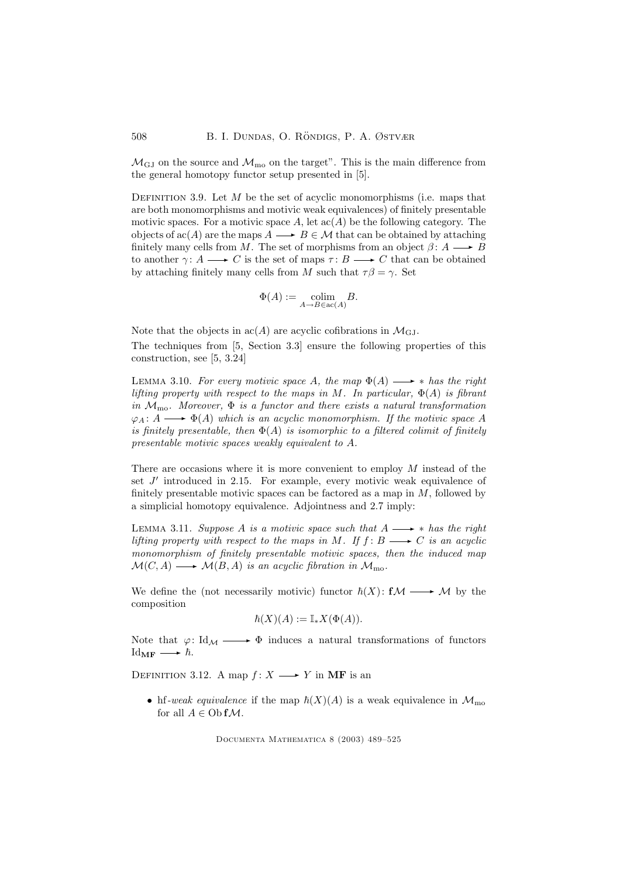$\mathcal{M}_{\text{GJ}}$  on the source and  $\mathcal{M}_{\text{mo}}$  on the target". This is the main difference from the general homotopy functor setup presented in [5].

DEFINITION 3.9. Let  $M$  be the set of acyclic monomorphisms (i.e. maps that are both monomorphisms and motivic weak equivalences) of finitely presentable motivic spaces. For a motivic space A, let  $\operatorname{ac}(A)$  be the following category. The objects of  $\operatorname{ac}(A)$  are the maps  $A \longrightarrow B \in \mathcal{M}$  that can be obtained by attaching finitely many cells from M. The set of morphisms from an object  $\beta: A \longrightarrow B$ to another  $\gamma: A \longrightarrow C$  is the set of maps  $\tau: B \longrightarrow C$  that can be obtained by attaching finitely many cells from M such that  $\tau\beta = \gamma$ . Set

$$
\Phi(A):=\underset{A\rightarrow B\in\operatorname{ac}(A)}{\operatorname{colim}}B.
$$

Note that the objects in  $\operatorname{ac}(A)$  are acyclic cofibrations in  $\mathcal{M}_{\rm GJ}$ . The techniques from [5, Section 3.3] ensure the following properties of this construction, see [5, 3.24]

LEMMA 3.10. For every motivic space A, the map  $\Phi(A) \longrightarrow *$  has the right lifting property with respect to the maps in M. In particular,  $\Phi(A)$  is fibrant in  $\mathcal{M}_{\text{mo}}$ . Moreover,  $\Phi$  is a functor and there exists a natural transformation  $\varphi_A: A \longrightarrow \Phi(A)$  which is an acyclic monomorphism. If the motivic space A is finitely presentable, then  $\Phi(A)$  is isomorphic to a filtered colimit of finitely presentable motivic spaces weakly equivalent to A.

There are occasions where it is more convenient to employ M instead of the set  $J'$  introduced in 2.15. For example, every motivic weak equivalence of finitely presentable motivic spaces can be factored as a map in  $M$ , followed by a simplicial homotopy equivalence. Adjointness and 2.7 imply:

LEMMA 3.11. Suppose A is a motivic space such that  $A \longrightarrow *$  has the right lifting property with respect to the maps in M. If  $f: B \longrightarrow C$  is an acyclic monomorphism of finitely presentable motivic spaces, then the induced map  $\mathcal{M}(C, A) \longrightarrow \mathcal{M}(B, A)$  is an acyclic fibration in  $\mathcal{M}_{\text{mo}}$ .

We define the (not necessarily motivic) functor  $\hbar(X)$ :  $f\mathcal{M} \longrightarrow \mathcal{M}$  by the composition

$$
\hbar(X)(A) := \mathbb{I}_{*}X(\Phi(A)).
$$

Note that  $\varphi: \text{Id}_{\mathcal{M}} \longrightarrow \Phi$  induces a natural transformations of functors  $\mathrm{Id}_{\mathbf{MF}} \longrightarrow \hbar.$ 

DEFINITION 3.12. A map  $f: X \longrightarrow Y$  in MF is an

• hf-weak equivalence if the map  $\hbar(X)(A)$  is a weak equivalence in  $\mathcal{M}_{\text{mo}}$ for all  $A \in \mathrm{Ob} f\mathcal{M}$ .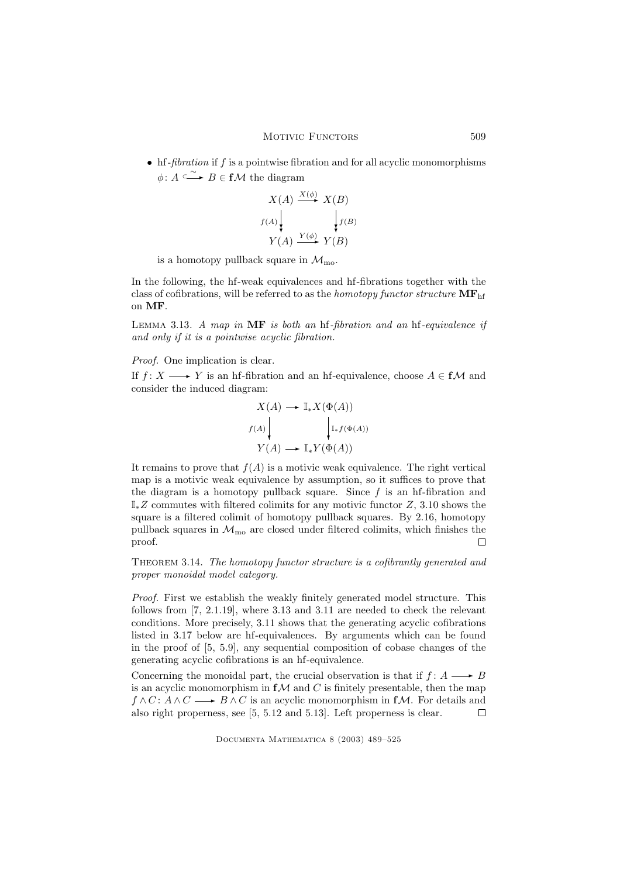$\bullet$  hf-*fibration* if f is a pointwise fibration and for all acyclic monomorphisms  $\phi: A \xrightarrow{\sim} B \in \mathbf{f} \mathcal{M}$  the diagram

$$
X(A) \xrightarrow{X(\phi)} X(B)
$$
  

$$
f(A) \downarrow \qquad f(B)
$$
  

$$
Y(A) \xrightarrow{Y(\phi)} Y(B)
$$

is a homotopy pullback square in  $\mathcal{M}_{\text{mo}}$ .

In the following, the hf-weak equivalences and hf-fibrations together with the class of cofibrations, will be referred to as the *homotopy functor structure*  $\mathbf{MF}_{\text{hf}}$ on MF.

LEMMA 3.13. A map in  $MF$  is both an hf-fibration and an hf-equivalence if and only if it is a pointwise acyclic fibration.

Proof. One implication is clear.

If  $f: X \longrightarrow Y$  is an hf-fibration and an hf-equivalence, choose  $A \in f\mathcal{M}$  and consider the induced diagram:

$$
X(A) \longrightarrow \mathbb{I}_{*}X(\Phi(A))
$$
  

$$
f(A) \qquad \qquad \downarrow \mathbb{I}_{*}f(\Phi(A))
$$
  

$$
Y(A) \longrightarrow \mathbb{I}_{*}Y(\Phi(A))
$$

It remains to prove that  $f(A)$  is a motivic weak equivalence. The right vertical map is a motivic weak equivalence by assumption, so it suffices to prove that the diagram is a homotopy pullback square. Since  $f$  is an hf-fibration and  $\mathbb{I}_*Z$  commutes with filtered colimits for any motivic functor  $Z$ , 3.10 shows the square is a filtered colimit of homotopy pullback squares. By 2.16, homotopy pullback squares in  $\mathcal{M}_{\rm mo}$  are closed under filtered colimits, which finishes the proof.  $\Box$ 

THEOREM 3.14. The homotopy functor structure is a cofibrantly generated and proper monoidal model category.

Proof. First we establish the weakly finitely generated model structure. This follows from [7, 2.1.19], where 3.13 and 3.11 are needed to check the relevant conditions. More precisely, 3.11 shows that the generating acyclic cofibrations listed in 3.17 below are hf-equivalences. By arguments which can be found in the proof of [5, 5.9], any sequential composition of cobase changes of the generating acyclic cofibrations is an hf-equivalence.

Concerning the monoidal part, the crucial observation is that if  $f: A \longrightarrow B$ is an acyclic monomorphism in  $f\mathcal{M}$  and C is finitely presentable, then the map  $f \wedge C : A \wedge C \longrightarrow B \wedge C$  is an acyclic monomorphism in fM. For details and also right properness, see [5, 5.12 and 5.13]. Left properness is clear.  $\Box$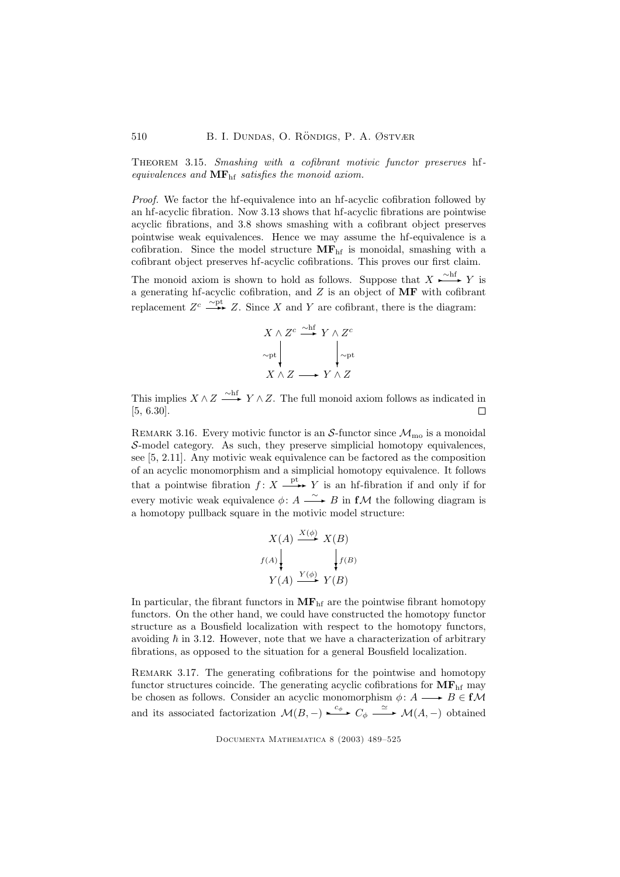THEOREM 3.15. Smashing with a cofibrant motivic functor preserves hfequivalences and  $\mathbf{MF}_{\text{hf}}$  satisfies the monoid axiom.

Proof. We factor the hf-equivalence into an hf-acyclic cofibration followed by an hf-acyclic fibration. Now 3.13 shows that hf-acyclic fibrations are pointwise acyclic fibrations, and 3.8 shows smashing with a cofibrant object preserves pointwise weak equivalences. Hence we may assume the hf-equivalence is a cofibration. Since the model structure  $MF<sub>hf</sub>$  is monoidal, smashing with a cofibrant object preserves hf-acyclic cofibrations. This proves our first claim.

The monoid axiom is shown to hold as follows. Suppose that  $X \xrightarrow{\sim hf} Y$  is a generating hf-acyclic cofibration, and  $Z$  is an object of  $\mathbf{MF}$  with cofibrant replacement  $Z^c \longrightarrow Z$ . Since X and Y are cofibrant, there is the diagram:

$$
X \wedge Z^{c} \xrightarrow{\sim h f} Y \wedge Z^{c}
$$
  
\n
$$
\sim_{\text{pt}} \downarrow \qquad \qquad \downarrow \sim_{\text{pt}}
$$
  
\n
$$
X \wedge Z \longrightarrow Y \wedge Z
$$

This implies  $X \wedge Z \stackrel{\sim \text{hf}}{\longrightarrow} Y \wedge Z$ . The full monoid axiom follows as indicated in [5, 6.30]. П

REMARK 3.16. Every motivic functor is an S-functor since  $\mathcal{M}_{\text{mo}}$  is a monoidal S-model category. As such, they preserve simplicial homotopy equivalences, see [5, 2.11]. Any motivic weak equivalence can be factored as the composition of an acyclic monomorphism and a simplicial homotopy equivalence. It follows that a pointwise fibration  $f: X \xrightarrow{\text{pt}} Y$  is an hf-fibration if and only if for every motivic weak equivalence  $\phi: A \longrightarrow B$  in **f***M* the following diagram is a homotopy pullback square in the motivic model structure:

$$
X(A) \xrightarrow{X(\phi)} X(B)
$$
  

$$
f(A) \downarrow \qquad f(B)
$$
  

$$
Y(A) \xrightarrow{Y(\phi)} Y(B)
$$

In particular, the fibrant functors in  $MF<sub>hf</sub>$  are the pointwise fibrant homotopy functors. On the other hand, we could have constructed the homotopy functor structure as a Bousfield localization with respect to the homotopy functors, avoiding  $\hbar$  in 3.12. However, note that we have a characterization of arbitrary fibrations, as opposed to the situation for a general Bousfield localization.

REMARK 3.17. The generating cofibrations for the pointwise and homotopy functor structures coincide. The generating acyclic cofibrations for  $\mathbf{MF}_{\text{hf}}$  may be chosen as follows. Consider an acyclic monomorphism  $\phi: A \longrightarrow B \in f\mathcal{M}$ and its associated factorization  $\mathcal{M}(B,-) \xrightarrow{c_{\phi}} C_{\phi} \xrightarrow{\simeq} \mathcal{M}(A,-)$  obtained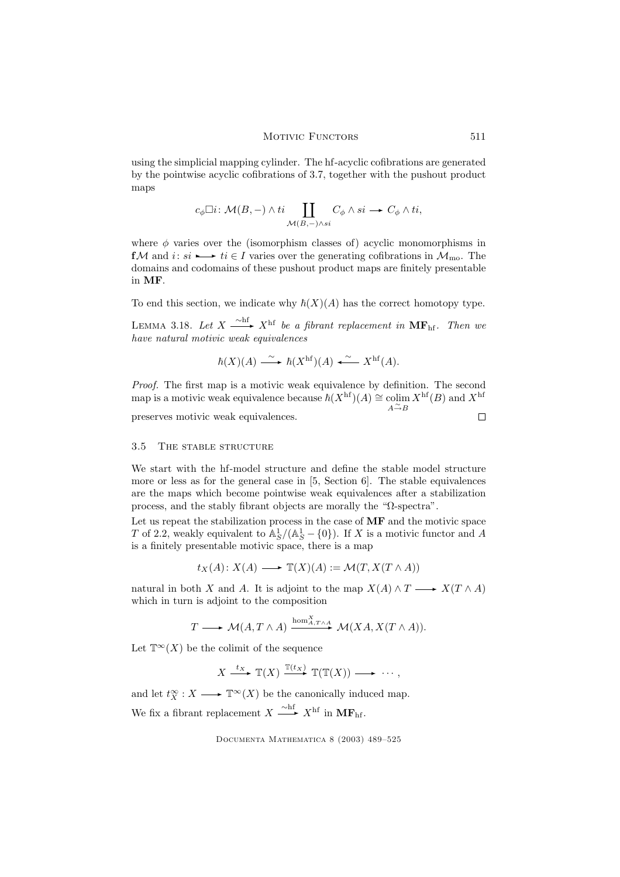using the simplicial mapping cylinder. The hf-acyclic cofibrations are generated by the pointwise acyclic cofibrations of 3.7, together with the pushout product maps

$$
c_{\phi}\Box i\colon \mathcal{M}(B,-)\wedge ti\coprod_{\mathcal{M}(B,-)\wedge si}C_{\phi}\wedge si\longrightarrow C_{\phi}\wedge ti,
$$

where  $\phi$  varies over the (isomorphism classes of) acyclic monomorphisms in fM and  $i: si \rightarrow t \in I$  varies over the generating cofibrations in  $\mathcal{M}_{\text{mo}}$ . The domains and codomains of these pushout product maps are finitely presentable in MF.

To end this section, we indicate why  $\hbar(X)(A)$  has the correct homotopy type.

LEMMA 3.18. Let  $X \xrightarrow{\sim \text{hf}} X^{\text{hf}}$  be a fibrant replacement in  $\text{MF}_{\text{hf}}$ . Then we have natural motivic weak equivalences

$$
\hbar(X)(A) \xrightarrow{\sim} \hbar(X^{\text{hf}})(A) \xleftarrow{\sim} X^{\text{hf}}(A).
$$

Proof. The first map is a motivic weak equivalence by definition. The second map is a motivic weak equivalence because  $\hbar(X^{\text{hf}})(A) \cong \text{colim } X^{\text{hf}}(B)$  and  $X^{\text{hf}}$  $A \xrightarrow{\sim} B$ 

preserves motivic weak equivalences.

 $\Box$ 

#### 3.5 The stable structure

We start with the hf-model structure and define the stable model structure more or less as for the general case in [5, Section 6]. The stable equivalences are the maps which become pointwise weak equivalences after a stabilization process, and the stably fibrant objects are morally the "Ω-spectra".

Let us repeat the stabilization process in the case of MF and the motivic space T of 2.2, weakly equivalent to  $\mathbb{A}_{S}^{1}/(\mathbb{A}_{S}^{1}-\{0\})$ . If X is a motivic functor and A is a finitely presentable motivic space, there is a map

$$
t_X(A) \colon X(A) \longrightarrow \mathbb{T}(X)(A) := \mathcal{M}(T, X(T \wedge A))
$$

natural in both X and A. It is adjoint to the map  $X(A) \wedge T \longrightarrow X(T \wedge A)$ which in turn is adjoint to the composition

$$
T \longrightarrow \mathcal{M}(A, T \wedge A) \xrightarrow{\mathrm{hom}_{A, T \wedge A}^X} \mathcal{M}(XA, X(T \wedge A)).
$$

Let  $\mathbb{T}^{\infty}(X)$  be the colimit of the sequence

$$
X \xrightarrow{t_X} \mathbb{T}(X) \xrightarrow{\mathbb{T}(t_X)} \mathbb{T}(\mathbb{T}(X)) \longrightarrow \cdots,
$$

and let  $t_X^{\infty}: X \longrightarrow \mathbb{T}^{\infty}(X)$  be the canonically induced map. We fix a fibrant replacement  $X \xrightarrow{\sim \text{hf}} X^{\text{hf}}$  in  $\text{MF}_{\text{hf}}$ .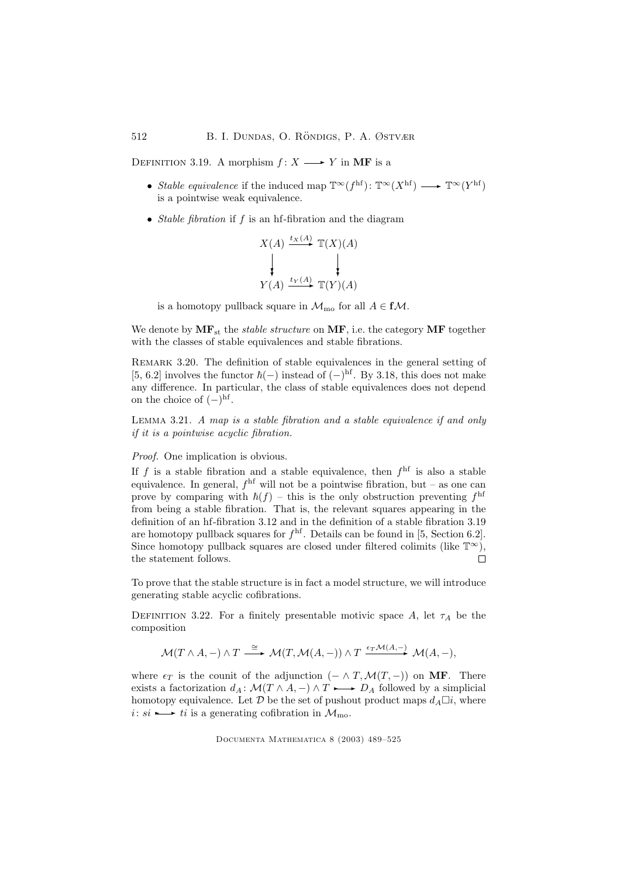DEFINITION 3.19. A morphism  $f: X \longrightarrow Y$  in MF is a

- Stable equivalence if the induced map  $\mathbb{T}^{\infty}(f^{\text{hf}}): \mathbb{T}^{\infty}(X^{\text{hf}}) \longrightarrow \mathbb{T}^{\infty}(Y^{\text{hf}})$ is a pointwise weak equivalence.
- Stable fibration if  $f$  is an hf-fibration and the diagram

$$
X(A) \xrightarrow{t_X(A)} \mathbb{T}(X)(A)
$$
  
\n
$$
Y(A) \xrightarrow{t_Y(A)} \mathbb{T}(Y)(A)
$$

is a homotopy pullback square in  $\mathcal{M}_{\text{mo}}$  for all  $A \in \mathbf{f} \mathcal{M}$ .

We denote by  $\mathbf{MF}_{st}$  the *stable structure* on  $\mathbf{MF}$ , i.e. the category  $\mathbf{MF}$  together with the classes of stable equivalences and stable fibrations.

REMARK 3.20. The definition of stable equivalences in the general setting of [5, 6.2] involves the functor  $\hbar(-)$  instead of  $(-)$ <sup>hf</sup>. By 3.18, this does not make any difference. In particular, the class of stable equivalences does not depend on the choice of  $(-)$ <sup>hf</sup>.

Lemma 3.21. A map is a stable fibration and a stable equivalence if and only if it is a pointwise acyclic fibration.

# Proof. One implication is obvious.

If f is a stable fibration and a stable equivalence, then  $f<sup>hf</sup>$  is also a stable equivalence. In general,  $f<sup>hf</sup>$  will not be a pointwise fibration, but – as one can prove by comparing with  $\hbar(f)$  – this is the only obstruction preventing  $f<sup>hf</sup>$ from being a stable fibration. That is, the relevant squares appearing in the definition of an hf-fibration 3.12 and in the definition of a stable fibration 3.19 are homotopy pullback squares for  $f<sup>hf</sup>$ . Details can be found in [5, Section 6.2]. Since homotopy pullback squares are closed under filtered colimits (like  $\mathbb{T}^{\infty}$ ), the statement follows.  $\Box$ 

To prove that the stable structure is in fact a model structure, we will introduce generating stable acyclic cofibrations.

DEFINITION 3.22. For a finitely presentable motivic space A, let  $\tau_A$  be the composition

$$
\mathcal{M}(T \wedge A, -) \wedge T \stackrel{\cong}{\longrightarrow} \mathcal{M}(T, \mathcal{M}(A, -)) \wedge T \stackrel{\epsilon_T \mathcal{M}(A, -)}{\longrightarrow} \mathcal{M}(A, -),
$$

where  $\epsilon_T$  is the counit of the adjunction  $(- \wedge T, \mathcal{M}(T, -))$  on MF. There exists a factorization  $d_A \colon \mathcal{M}(T \wedge A, -) \wedge T \longrightarrow D_A$  followed by a simplicial homotopy equivalence. Let  $\mathcal D$  be the set of pushout product maps  $d_A \Box i$ , where  $i: si \rightarrow it$  is a generating cofibration in  $\mathcal{M}_{\text{mo}}$ .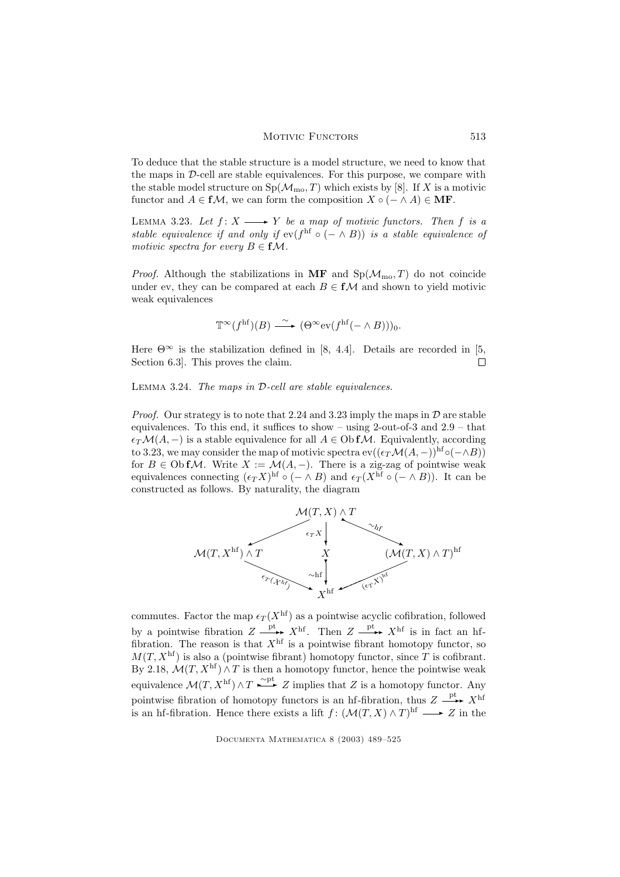To deduce that the stable structure is a model structure, we need to know that the maps in  $\mathcal{D}$ -cell are stable equivalences. For this purpose, we compare with the stable model structure on  $Sp(\mathcal{M}_{\text{mo}}, T)$  which exists by [8]. If X is a motivic functor and  $A \in f\mathcal{M}$ , we can form the composition  $X \circ (- \wedge A) \in \mathbf{MF}$ .

LEMMA 3.23. Let  $f: X \longrightarrow Y$  be a map of motivic functors. Then f is a stable equivalence if and only if  $ev(f<sup>hf</sup> \circ (- \wedge B))$  is a stable equivalence of motivic spectra for every  $B \in f\mathcal{M}$ .

*Proof.* Although the stabilizations in MF and  $Sp(\mathcal{M}_{\text{mo}}, T)$  do not coincide under ev, they can be compared at each  $B \in f\mathcal{M}$  and shown to yield motivic weak equivalences

$$
\mathbb{T}^{\infty}(f^{\rm hf})(B) \xrightarrow{\sim} (\Theta^{\infty} \text{ev}(f^{\rm hf}(- \wedge B)))_0.
$$

Here  $\Theta^{\infty}$  is the stabilization defined in [8, 4.4]. Details are recorded in [5, Section 6.3]. This proves the claim.  $\Box$ 

Lemma 3.24. The maps in D-cell are stable equivalences.

*Proof.* Our strategy is to note that 2.24 and 3.23 imply the maps in  $\mathcal D$  are stable equivalences. To this end, it suffices to show – using 2-out-of-3 and 2.9 – that  $\epsilon_T\mathcal{M}(A,-)$  is a stable equivalence for all  $A\in\mathrm{Ob} f\mathcal{M}$ . Equivalently, according to 3.23, we may consider the map of motivic spectra  $ev((\epsilon_T \mathcal{M}(A, -))^{hf} \circ (-\wedge B))$ for  $B \in \text{Ob } f\mathcal{M}$ . Write  $X := \mathcal{M}(A, -)$ . There is a zig-zag of pointwise weak equivalences connecting  $(\epsilon_T X)^{hf} \circ (- \wedge B)$  and  $\epsilon_T (X^{hf} \circ (- \wedge B))$ . It can be constructed as follows. By naturality, the diagram



commutes. Factor the map  $\epsilon_T(X^{\text{hf}})$  as a pointwise acyclic cofibration, followed by a pointwise fibration  $Z \xrightarrow{\text{pt}} X^{\text{hf}}$ . Then  $Z \xrightarrow{\text{pt}} X^{\text{hf}}$  is in fact an hffibration. The reason is that  $X<sup>hf</sup>$  is a pointwise fibrant homotopy functor, so  $M(T, X^{\text{hf}})$  is also a (pointwise fibrant) homotopy functor, since T is cofibrant. By 2.18,  $\mathcal{M}(T, X^{\text{hf}}) \wedge T$  is then a homotopy functor, hence the pointwise weak equivalence  $\mathcal{M}(T, X^{\text{hf}}) \wedge T \xrightarrow{\sim pt} Z$  implies that Z is a homotopy functor. Any pointwise fibration of homotopy functors is an hf-fibration, thus  $Z \xrightarrow{\text{pt}} X^{\text{hf}}$ is an hf-fibration. Hence there exists a lift  $f: (\mathcal{M}(T, X) \wedge T)^{hf} \longrightarrow Z$  in the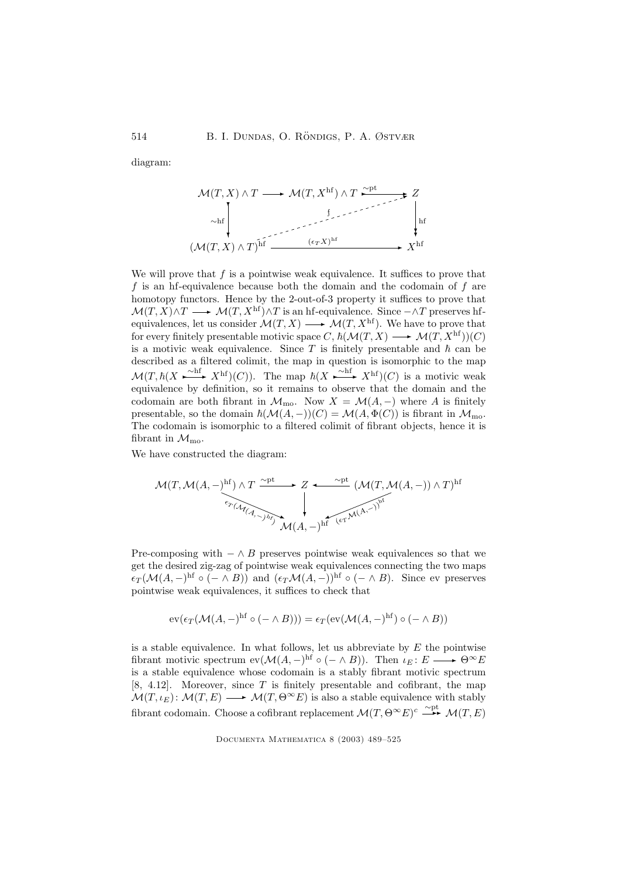diagram:

$$
\mathcal{M}(T, X) \land T \longrightarrow \mathcal{M}(T, X^{\text{hf}}) \land T \xrightarrow{\sim \text{pt}} Z
$$
\n
$$
\sim \text{hf} \downarrow \text{hf}
$$
\n
$$
(\mathcal{M}(T, X) \land T)^{\text{hf}} \xrightarrow{(\epsilon_T X)^{\text{hf}}} X^{\text{hf}}
$$

We will prove that  $f$  is a pointwise weak equivalence. It suffices to prove that f is an he-equivalence because both the domain and the codomain of f are homotopy functors. Hence by the 2-out-of-3 property it suffices to prove that  $\mathcal{M}(T, X) \wedge T \longrightarrow \mathcal{M}(T, X^{\text{hf}}) \wedge T$  is an hf-equivalence. Since  $-\wedge T$  preserves hfequivalences, let us consider  $\mathcal{M}(T, X) \longrightarrow \mathcal{M}(T, X^{\text{hf}})$ . We have to prove that for every finitely presentable motivic space C,  $\hbar(M(T, X) \longrightarrow M(T, X^{\text{hf}}))(C)$ is a motivic weak equivalence. Since T is finitely presentable and  $\hbar$  can be described as a filtered colimit, the map in question is isomorphic to the map  $\mathcal{M}(T, \hbar(X \xrightarrow{\sim h} X^{hf})(C)).$  The map  $\hbar(X \xrightarrow{\sim hf} X^{hf})(C)$  is a motivic weak equivalence by definition, so it remains to observe that the domain and the codomain are both fibrant in  $\mathcal{M}_{\text{mo}}$ . Now  $X = \mathcal{M}(A, -)$  where A is finitely presentable, so the domain  $\hbar(M(A, -))(C) = M(A, \Phi(C))$  is fibrant in  $\mathcal{M}_{\text{mo}}$ . The codomain is isomorphic to a filtered colimit of fibrant objects, hence it is fibrant in  $\mathcal{M}_{\text{mo}}$ .

We have constructed the diagram:

$$
\mathcal{M}(T, \mathcal{M}(A, -)^{\text{hf}}) \land T \xrightarrow{\sim_{\text{pt}}} Z \xleftarrow{\sim_{\text{pt}}} (\mathcal{M}(T, \mathcal{M}(A, -)) \land T)^{\text{hf}}
$$
\n
$$
\downarrow
$$
\n
$$
\mathcal{M}(A, -)^{\text{hf}} \xleftarrow{\sim_{\text{pt}}} (\mathcal{M}(T, \mathcal{M}(A, -)) \land T)^{\text{hf}}
$$

Pre-composing with  $-\wedge B$  preserves pointwise weak equivalences so that we get the desired zig-zag of pointwise weak equivalences connecting the two maps  $\epsilon_T(\mathcal{M}(A, -)^{hf} \circ (- \wedge B))$  and  $(\epsilon_T \mathcal{M}(A, -))^{hf} \circ (- \wedge B)$ . Since ev preserves pointwise weak equivalences, it suffices to check that

$$
\operatorname{ev}(\epsilon_T(\mathcal{M}(A, -)^{\operatorname{hf}} \circ (- \wedge B))) = \epsilon_T(\operatorname{ev}(\mathcal{M}(A, -)^{\operatorname{hf}}) \circ (- \wedge B))
$$

is a stable equivalence. In what follows, let us abbreviate by  $E$  the pointwise fibrant motivic spectrum  $ev(M(A, -)^{hf} \circ (- \wedge B))$ . Then  $\iota_E : E \longrightarrow \Theta^{\infty} E$ is a stable equivalence whose codomain is a stably fibrant motivic spectrum [8, 4.12]. Moreover, since  $T$  is finitely presentable and cofibrant, the map  $\mathcal{M}(T, \iota_E): \mathcal{M}(T, E) \longrightarrow \mathcal{M}(T, \Theta^{\infty} E)$  is also a stable equivalence with stably fibrant codomain. Choose a cofibrant replacement  $\mathcal{M}(T,\Theta^{\infty}E)^c \stackrel{\sim \text{pt}}{\longrightarrow} \mathcal{M}(T,E)$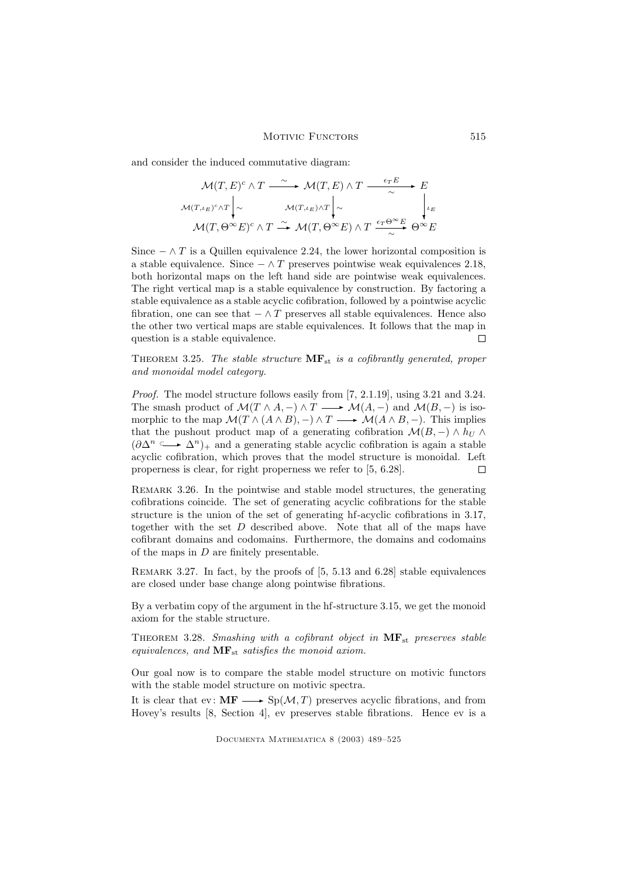and consider the induced commutative diagram:

$$
\mathcal{M}(T, E)^c \wedge T \xrightarrow{\sim} \mathcal{M}(T, E) \wedge T \xrightarrow{\epsilon_T E} E
$$
\n
$$
\mathcal{M}(T, \iota_E)^c \wedge T \Big|_{\sim} \qquad \mathcal{M}(T, \iota_E) \wedge T \Big|_{\sim} \qquad \downarrow \iota_E
$$
\n
$$
\mathcal{M}(T, \Theta^{\infty} E)^c \wedge T \xrightarrow{\sim} \mathcal{M}(T, \Theta^{\infty} E) \wedge T \xrightarrow{\epsilon_T \Theta^{\infty} E} \Theta^{\infty} E
$$

Since  $-\wedge T$  is a Quillen equivalence 2.24, the lower horizontal composition is a stable equivalence. Since  $-\wedge T$  preserves pointwise weak equivalences 2.18, both horizontal maps on the left hand side are pointwise weak equivalences. The right vertical map is a stable equivalence by construction. By factoring a stable equivalence as a stable acyclic cofibration, followed by a pointwise acyclic fibration, one can see that  $-\wedge T$  preserves all stable equivalences. Hence also the other two vertical maps are stable equivalences. It follows that the map in question is a stable equivalence.  $\Box$ 

THEOREM 3.25. The stable structure  $\mathbf{MF}_{st}$  is a cofibrantly generated, proper and monoidal model category.

Proof. The model structure follows easily from [7, 2.1.19], using 3.21 and 3.24. The smash product of  $\mathcal{M}(T \wedge A, -) \wedge T \longrightarrow \mathcal{M}(A, -)$  and  $\mathcal{M}(B, -)$  is isomorphic to the map  $\mathcal{M}(T \wedge (A \wedge B), -) \wedge T \longrightarrow \mathcal{M}(A \wedge B, -)$ . This implies that the pushout product map of a generating cofibration  $\mathcal{M}(B, -) \wedge h_U \wedge$  $(\partial \Delta^n \longrightarrow \Delta^n)_+$  and a generating stable acyclic cofibration is again a stable acyclic cofibration, which proves that the model structure is monoidal. Left properness is clear, for right properness we refer to [5, 6.28].  $\Box$ 

REMARK 3.26. In the pointwise and stable model structures, the generating cofibrations coincide. The set of generating acyclic cofibrations for the stable structure is the union of the set of generating hf-acyclic cofibrations in 3.17, together with the set D described above. Note that all of the maps have cofibrant domains and codomains. Furthermore, the domains and codomains of the maps in  $D$  are finitely presentable.

Remark 3.27. In fact, by the proofs of [5, 5.13 and 6.28] stable equivalences are closed under base change along pointwise fibrations.

By a verbatim copy of the argument in the hf-structure 3.15, we get the monoid axiom for the stable structure.

THEOREM 3.28. Smashing with a cofibrant object in  $\text{MF}_{st}$  preserves stable equivalences, and  $MF_{st}$  satisfies the monoid axiom.

Our goal now is to compare the stable model structure on motivic functors with the stable model structure on motivic spectra.

It is clear that ev:  $\mathbf{MF} \longrightarrow \text{Sp}(\mathcal{M}, T)$  preserves acyclic fibrations, and from Hovey's results [8, Section 4], ev preserves stable fibrations. Hence ev is a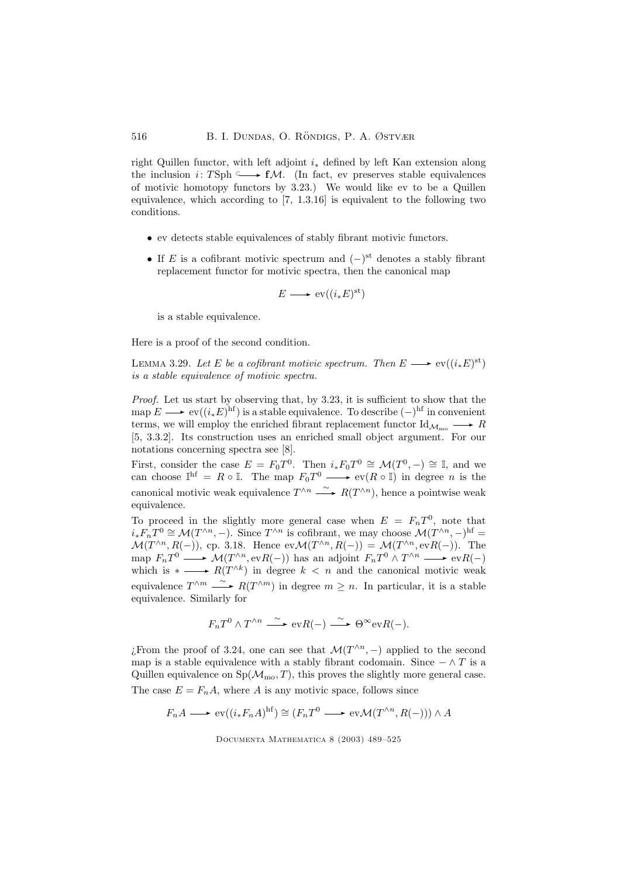right Quillen functor, with left adjoint  $i_*$  defined by left Kan extension along the inclusion i: TSph  $\longrightarrow f\mathcal{M}$ . (In fact, ev preserves stable equivalences of motivic homotopy functors by 3.23.) We would like ev to be a Quillen equivalence, which according to [7, 1.3.16] is equivalent to the following two conditions.

- ev detects stable equivalences of stably fibrant motivic functors.
- If E is a cofibrant motivic spectrum and  $(-)$ <sup>st</sup> denotes a stably fibrant replacement functor for motivic spectra, then the canonical map

$$
E \longrightarrow \text{ev}((i_*E)^{\text{st}})
$$

is a stable equivalence.

Here is a proof of the second condition.

LEMMA 3.29. Let E be a cofibrant motivic spectrum. Then  $E \longrightarrow \text{ev}((i_*E)^{\text{st}})$ is a stable equivalence of motivic spectra.

Proof. Let us start by observing that, by 3.23, it is sufficient to show that the map  $E \longrightarrow \text{ev}((i_*E)^{\text{hf}})$  is a stable equivalence. To describe  $(-)^{\text{hf}}$  in convenient terms, we will employ the enriched fibrant replacement functor  $\text{Id}_{\mathcal{M}_{\text{mo}}}\longrightarrow R$ [5, 3.3.2]. Its construction uses an enriched small object argument. For our notations concerning spectra see [8].

First, consider the case  $E = F_0 T^0$ . Then  $i_* F_0 T^0 \cong \mathcal{M}(T^0, -) \cong \mathbb{I}$ , and we can choose  $\mathbb{I}^{\text{hf}} = R \circ \mathbb{I}$ . The map  $F_0 T^0 \longrightarrow \text{ev}(R \circ \mathbb{I})$  in degree *n* is the canonical motivic weak equivalence  $T^{\wedge n} \xrightarrow{\sim} R(T^{\wedge n})$ , hence a pointwise weak equivalence.

To proceed in the slightly more general case when  $E = F_n T^0$ , note that  $i_*F_nT^0 \cong \mathcal{M}(T^{\wedge n}, -)$ . Since  $T^{\wedge n}$  is cofibrant, we may choose  $\mathcal{M}(T^{\wedge n}, -)$ <sup>hf</sup> =  $\mathcal{M}(T^{\wedge n}, R(-))$ , cp. 3.18. Hence  $ev\mathcal{M}(T^{\wedge n}, R(-)) = \mathcal{M}(T^{\wedge n}, evR(-))$ . The map  $F_nT^0 \longrightarrow \mathcal{M}(T^{\wedge n}, \text{ev}R(-))$  has an adjoint  $F_nT^0 \wedge T^{\wedge n} \longrightarrow \text{ev}R(-)$ which is  $* \longrightarrow R(T^{\wedge k})$  in degree  $k < n$  and the canonical motivic weak equivalence  $T^{\wedge m} \xrightarrow{\sim} R(T^{\wedge m})$  in degree  $m \geq n$ . In particular, it is a stable equivalence. Similarly for

$$
F_nT^0 \wedge T^{\wedge n} \xrightarrow{\sim} \text{ev}R(-) \xrightarrow{\sim} \Theta^{\infty} \text{ev}R(-).
$$

*i*. From the proof of 3.24, one can see that  $\mathcal{M}(T^{\wedge n},-)$  applied to the second map is a stable equivalence with a stably fibrant codomain. Since  $-\wedge T$  is a Quillen equivalence on  $Sp(\mathcal{M}_{mo}, T)$ , this proves the slightly more general case. The case  $E = F_n A$ , where A is any motivic space, follows since

 $F_n A \longrightarrow \text{ev}((i_* F_n A)^{\text{hf}}) \cong (F_n T^0 \longrightarrow \text{ev}\mathcal{M}(T^{\wedge n}, R(-))) \wedge A$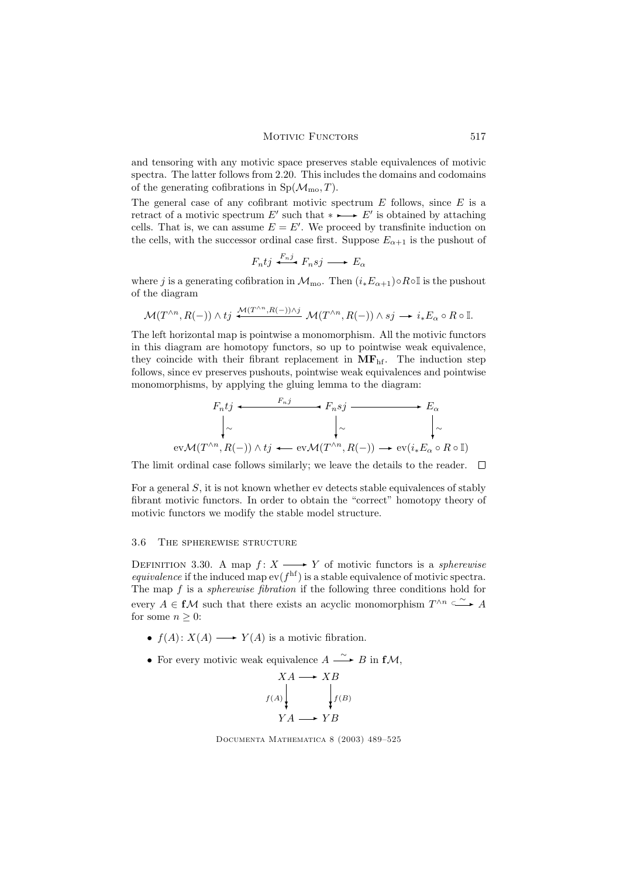and tensoring with any motivic space preserves stable equivalences of motivic spectra. The latter follows from 2.20. This includes the domains and codomains of the generating cofibrations in  $Sp(\mathcal{M}_{\text{mo}}, T)$ .

The general case of any cofibrant motivic spectrum  $E$  follows, since  $E$  is a retract of a motivic spectrum  $E'$  such that  $* \rightarrow E'$  is obtained by attaching cells. That is, we can assume  $E = E'$ . We proceed by transfinite induction on the cells, with the successor ordinal case first. Suppose  $E_{\alpha+1}$  is the pushout of

$$
F_n t j \xrightarrow{F_n j} F_n s j \longrightarrow E_\alpha
$$

where j is a generating cofibration in  $\mathcal{M}_{\text{mo}}$ . Then  $(i_*E_{\alpha+1})\circ R\circ \mathbb{I}$  is the pushout of the diagram

$$
\mathcal{M}(T^{\wedge n}, R(-)) \wedge t j \xrightarrow{\mathcal{M}(T^{\wedge n}, R(-)) \wedge j} \mathcal{M}(T^{\wedge n}, R(-)) \wedge s j \longrightarrow i_* E_\alpha \circ R \circ \mathbb{I}.
$$

The left horizontal map is pointwise a monomorphism. All the motivic functors in this diagram are homotopy functors, so up to pointwise weak equivalence, they coincide with their fibrant replacement in  $MF<sub>hf</sub>$ . The induction step follows, since ev preserves pushouts, pointwise weak equivalences and pointwise monomorphisms, by applying the gluing lemma to the diagram:

$$
F_n t j \xrightarrow{F_n j} F_n s j \xrightarrow{F_n s j} E_\alpha
$$
  
\n
$$
\downarrow \sim \qquad \qquad \downarrow \sim \qquad \qquad \downarrow \sim
$$
  
\nev $\mathcal{M}(T^{\wedge n}, R(-)) \wedge t j \xleftarrow{\text{ev}} \mathcal{M}(T^{\wedge n}, R(-)) \xrightarrow{\text{ev}} \text{ev}(i_* E_\alpha \circ R \circ \mathbb{I})$ 

The limit ordinal case follows similarly; we leave the details to the reader.  $\quad \Box$ 

For a general S, it is not known whether ev detects stable equivalences of stably fibrant motivic functors. In order to obtain the "correct" homotopy theory of motivic functors we modify the stable model structure.

# 3.6 The spherewise structure

DEFINITION 3.30. A map  $f: X \longrightarrow Y$  of motivic functors is a *spherewise equivalence* if the induced map  $ev(f<sup>hf</sup>)$  is a stable equivalence of motivic spectra. The map f is a *spherewise fibration* if the following three conditions hold for every  $A \in f\mathcal{M}$  such that there exists an acyclic monomorphism  $T^{\wedge n} \overset{\sim}{\longrightarrow} A$ for some  $n \geq 0$ :

- $f(A): X(A) \longrightarrow Y(A)$  is a motivic fibration.
- For every motivic weak equivalence  $A \xrightarrow{\sim} B$  in  $f\mathcal{M}$ ,

$$
XA \longrightarrow XB
$$
  
\n
$$
f(A) \downarrow \qquad f(B)
$$
  
\n
$$
YA \longrightarrow YB
$$

Documenta Mathematica 8 (2003) 489–525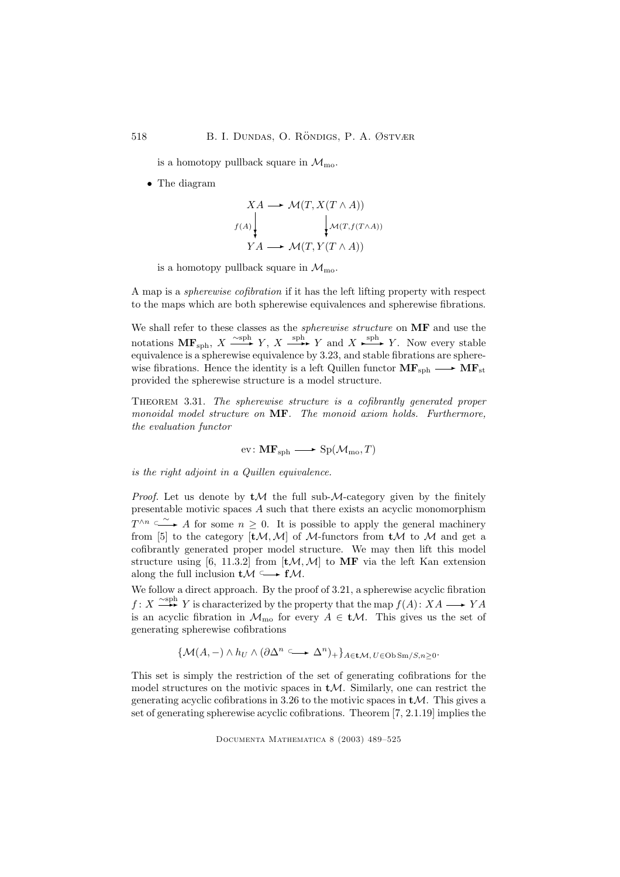is a homotopy pullback square in  $\mathcal{M}_{\text{mo}}$ .

• The diagram

$$
XA \longrightarrow \mathcal{M}(T, X(T \wedge A))
$$
  

$$
f(A) \downarrow \qquad \qquad \downarrow \mathcal{M}(T, f(T \wedge A))
$$
  

$$
YA \longrightarrow \mathcal{M}(T, Y(T \wedge A))
$$

is a homotopy pullback square in  $\mathcal{M}_{\text{mo}}$ .

A map is a spherewise cofibration if it has the left lifting property with respect to the maps which are both spherewise equivalences and spherewise fibrations.

We shall refer to these classes as the *spherewise structure* on **MF** and use the notations  $\mathbf{MF}_{\text{sph}}, X \xrightarrow{\text{sph}} Y, X \xrightarrow{\text{sph}} Y$  and  $X \xrightarrow{\text{sph}} Y$ . Now every stable equivalence is a spherewise equivalence by 3.23, and stable fibrations are spherewise fibrations. Hence the identity is a left Quillen functor  $MF_{sph} \longrightarrow MF_{st}$ provided the spherewise structure is a model structure.

THEOREM 3.31. The spherewise structure is a cofibrantly generated proper monoidal model structure on MF. The monoid axiom holds. Furthermore, the evaluation functor

$$
ev: \mathbf{MF}_{\mathrm{sph}} \longrightarrow \mathrm{Sp}(\mathcal{M}_{\mathrm{mo}}, T)
$$

is the right adjoint in a Quillen equivalence.

*Proof.* Let us denote by  $tM$  the full sub-*M*-category given by the finitely presentable motivic spaces  $A$  such that there exists an acyclic monomorphism  $T^{\wedge n} \overset{\sim}{\longrightarrow} A$  for some  $n \geq 0$ . It is possible to apply the general machinery from [5] to the category  $[tM, M]$  of M-functors from  $tM$  to M and get a cofibrantly generated proper model structure. We may then lift this model structure using [6, 11.3.2] from  $[tM, M]$  to MF via the left Kan extension along the full inclusion  $t\mathcal{M} \longrightarrow f\mathcal{M}$ .

We follow a direct approach. By the proof of 3.21, a spherewise acyclic fibration  $f: X \xrightarrow{\sim \text{sph}} Y$  is characterized by the property that the map  $f(A): XA \longrightarrow YA$ is an acyclic fibration in  $\mathcal{M}_{\text{mo}}$  for every  $A \in \mathbf{tM}$ . This gives us the set of generating spherewise cofibrations

$$
\{\mathcal{M}(A,-)\wedge h_U\wedge(\partial\Delta^n\subseteq\longrightarrow\Delta^n)_+\}_{A\in\mathbf{t}\mathcal{M},\,U\in\mathrm{Ob}\,\mathrm{Sm}/S,n\geq 0}.
$$

This set is simply the restriction of the set of generating cofibrations for the model structures on the motivic spaces in  $tM$ . Similarly, one can restrict the generating acyclic cofibrations in 3.26 to the motivic spaces in  $tM$ . This gives a set of generating spherewise acyclic cofibrations. Theorem [7, 2.1.19] implies the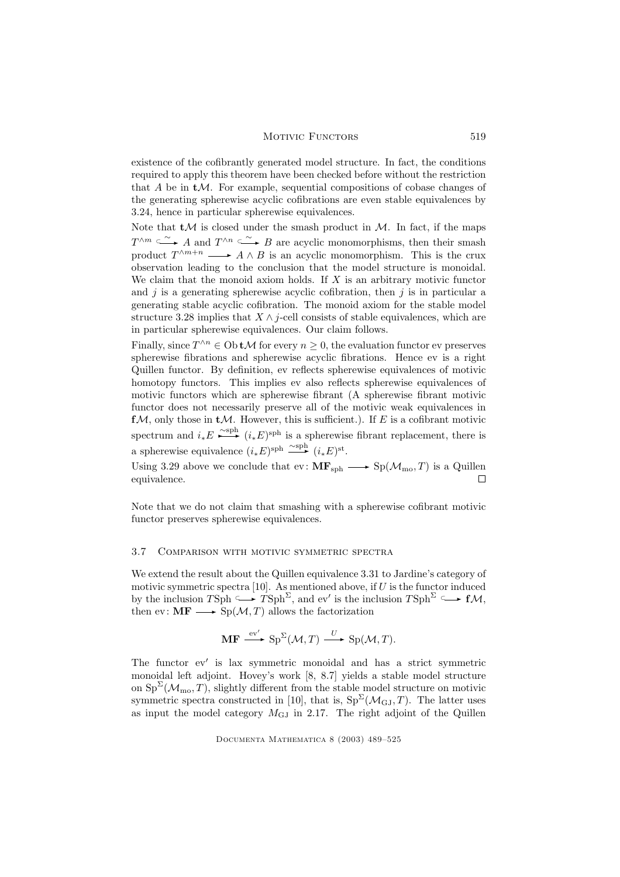existence of the cofibrantly generated model structure. In fact, the conditions required to apply this theorem have been checked before without the restriction that  $A$  be in  $tM$ . For example, sequential compositions of cobase changes of the generating spherewise acyclic cofibrations are even stable equivalences by 3.24, hence in particular spherewise equivalences.

Note that  $tM$  is closed under the smash product in M. In fact, if the maps  $T^{\wedge m} \longrightarrow A$  and  $T^{\wedge n} \longrightarrow B$  are acyclic monomorphisms, then their smash product  $T^{\wedge m+n} \longrightarrow A \wedge B$  is an acyclic monomorphism. This is the crux observation leading to the conclusion that the model structure is monoidal. We claim that the monoid axiom holds. If  $X$  is an arbitrary motivic functor and  $j$  is a generating spherewise acyclic cofibration, then  $j$  is in particular a generating stable acyclic cofibration. The monoid axiom for the stable model structure 3.28 implies that  $X \wedge j$ -cell consists of stable equivalences, which are in particular spherewise equivalences. Our claim follows.

Finally, since  $T^{\wedge n} \in \text{Ob } t\mathcal{M}$  for every  $n \geq 0$ , the evaluation functor ev preserves spherewise fibrations and spherewise acyclic fibrations. Hence ev is a right Quillen functor. By definition, ev reflects spherewise equivalences of motivic homotopy functors. This implies ev also reflects spherewise equivalences of motivic functors which are spherewise fibrant (A spherewise fibrant motivic functor does not necessarily preserve all of the motivic weak equivalences in  $f\mathcal{M}$ , only those in  $t\mathcal{M}$ . However, this is sufficient.). If E is a cofibrant motivic spectrum and  $i_*E \longrightarrow^{\text{c sph}} (i_*E)^{\text{sph}}$  is a spherewise fibrant replacement, there is a spherewise equivalence  $(i_*E)^{\text{sph}} \xrightarrow{\sim \text{sph}} (i_*E)^{\text{st}}$ .

Using 3.29 above we conclude that  $ev: \mathbf{MF}_{\text{sph}} \longrightarrow Sp(\mathcal{M}_{\text{mo}}, T)$  is a Quillen equivalence. П

Note that we do not claim that smashing with a spherewise cofibrant motivic functor preserves spherewise equivalences.

### 3.7 Comparison with motivic symmetric spectra

We extend the result about the Quillen equivalence 3.31 to Jardine's category of motivic symmetric spectra [10]. As mentioned above, if  $U$  is the functor induced by the inclusion  $T\text{Sph} \longrightarrow T\text{Sph}^{\Sigma}$ , and ev' is the inclusion  $T\text{Sph}^{\Sigma} \longrightarrow f\mathcal{M}$ , then ev:  $\mathbf{MF} \longrightarrow \text{Sp}(\mathcal{M}, T)$  allows the factorization

$$
\mathbf{MF} \xrightarrow{\text{ev}'} \text{Sp}^{\Sigma}(\mathcal{M}, T) \xrightarrow{U} \text{Sp}(\mathcal{M}, T).
$$

The functor ev′ is lax symmetric monoidal and has a strict symmetric monoidal left adjoint. Hovey's work [8, 8.7] yields a stable model structure on  $\text{Sp}^{\Sigma}(\mathcal{M}_{\text{mo}}, T)$ , slightly different from the stable model structure on motivic symmetric spectra constructed in [10], that is,  $Sp^{\Sigma}(\mathcal{M}_{GJ},T)$ . The latter uses as input the model category  $M<sub>GJ</sub>$  in 2.17. The right adjoint of the Quillen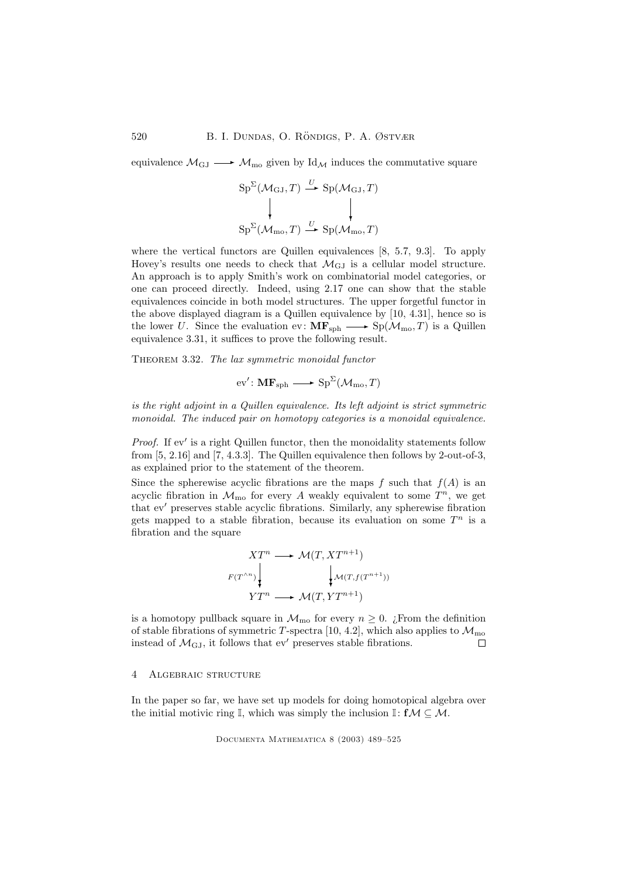equivalence  $\mathcal{M}_{\text{GJ}} \longrightarrow \mathcal{M}_{\text{mo}}$  given by Id<sub>M</sub> induces the commutative square

$$
Sp^{\Sigma}(\mathcal{M}_{GJ}, T) \stackrel{U}{\longrightarrow} Sp(\mathcal{M}_{GJ}, T)
$$
  

$$
\downarrow \qquad \qquad \downarrow
$$
  

$$
Sp^{\Sigma}(\mathcal{M}_{mo}, T) \stackrel{U}{\longrightarrow} Sp(\mathcal{M}_{mo}, T)
$$

where the vertical functors are Quillen equivalences [8, 5.7, 9.3]. To apply Hovey's results one needs to check that  $\mathcal{M}_{\text{GJ}}$  is a cellular model structure. An approach is to apply Smith's work on combinatorial model categories, or one can proceed directly. Indeed, using 2.17 one can show that the stable equivalences coincide in both model structures. The upper forgetful functor in the above displayed diagram is a Quillen equivalence by [10, 4.31], hence so is the lower U. Since the evaluation ev:  $\mathbf{MF}_{\text{sph}} \longrightarrow \text{Sp}(\mathcal{M}_{\text{mo}}, T)$  is a Quillen equivalence 3.31, it suffices to prove the following result.

THEOREM 3.32. The lax symmetric monoidal functor

$$
ev': \mathbf{MF}_{\mathrm{sph}} \longrightarrow \mathrm{Sp}^{\Sigma}(\mathcal{M}_{\mathrm{mo}}, T)
$$

is the right adjoint in a Quillen equivalence. Its left adjoint is strict symmetric monoidal. The induced pair on homotopy categories is a monoidal equivalence.

Proof. If  $ev'$  is a right Quillen functor, then the monoidality statements follow from [5, 2.16] and [7, 4.3.3]. The Quillen equivalence then follows by 2-out-of-3, as explained prior to the statement of the theorem.

Since the spherewise acyclic fibrations are the maps  $f$  such that  $f(A)$  is an acyclic fibration in  $\mathcal{M}_{\text{mo}}$  for every A weakly equivalent to some  $T^n$ , we get that ev′ preserves stable acyclic fibrations. Similarly, any spherewise fibration gets mapped to a stable fibration, because its evaluation on some  $T^n$  is a fibration and the square

$$
XT^{n} \longrightarrow \mathcal{M}(T, XT^{n+1})
$$
  

$$
F(T^{\wedge n}) \downarrow \qquad \qquad \downarrow \mathcal{M}(T, f(T^{n+1}))
$$
  

$$
YT^{n} \longrightarrow \mathcal{M}(T, YT^{n+1})
$$

is a homotopy pullback square in  $\mathcal{M}_{\text{mo}}$  for every  $n \geq 0$ . ¿From the definition of stable fibrations of symmetric T-spectra [10, 4.2], which also applies to  $\mathcal{M}_{\text{mo}}$ instead of  $\mathcal{M}_{\text{GJ}}$ , it follows that ev' preserves stable fibrations.  $\Box$ 

#### 4 Algebraic structure

In the paper so far, we have set up models for doing homotopical algebra over the initial motivic ring  $\mathbb{I}$ , which was simply the inclusion  $\mathbb{I}: f\mathcal{M} \subseteq \mathcal{M}$ .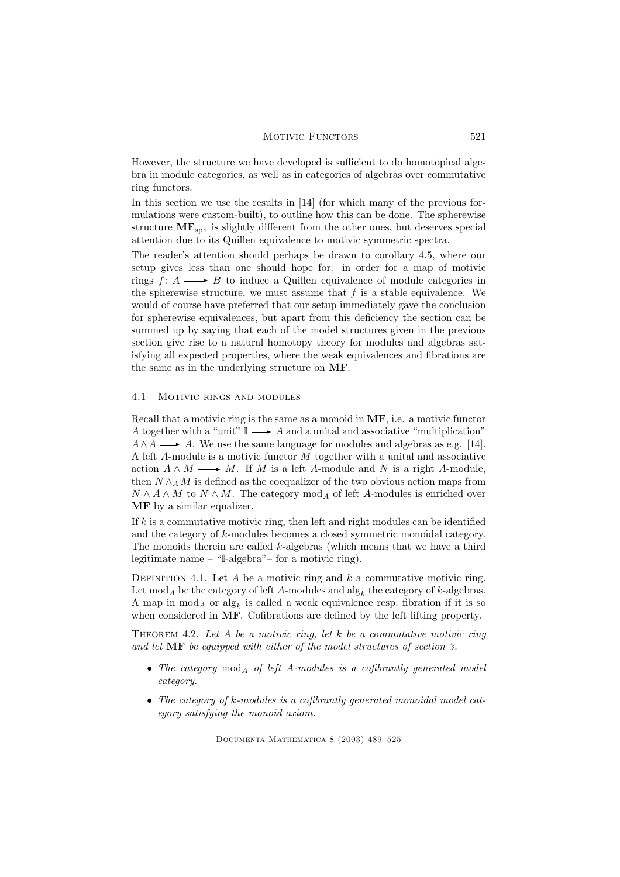However, the structure we have developed is sufficient to do homotopical algebra in module categories, as well as in categories of algebras over commutative ring functors.

In this section we use the results in [14] (for which many of the previous formulations were custom-built), to outline how this can be done. The spherewise structure  $MF_{sph}$  is slightly different from the other ones, but deserves special attention due to its Quillen equivalence to motivic symmetric spectra.

The reader's attention should perhaps be drawn to corollary 4.5, where our setup gives less than one should hope for: in order for a map of motivic rings  $f: A \longrightarrow B$  to induce a Quillen equivalence of module categories in the spherewise structure, we must assume that  $f$  is a stable equivalence. We would of course have preferred that our setup immediately gave the conclusion for spherewise equivalences, but apart from this deficiency the section can be summed up by saying that each of the model structures given in the previous section give rise to a natural homotopy theory for modules and algebras satisfying all expected properties, where the weak equivalences and fibrations are the same as in the underlying structure on MF.

# 4.1 Motivic rings and modules

Recall that a motivic ring is the same as a monoid in MF, i.e. a motivic functor A together with a "unit"  $\mathbb{I} \longrightarrow A$  and a unital and associative "multiplication"  $A \wedge A \longrightarrow A$ . We use the same language for modules and algebras as e.g. [14]. A left A-module is a motivic functor M together with a unital and associative action  $A \wedge M \longrightarrow M$ . If M is a left A-module and N is a right A-module, then  $N \wedge_A M$  is defined as the coequalizer of the two obvious action maps from  $N \wedge A \wedge M$  to  $N \wedge M$ . The category  $\operatorname{mod}_A$  of left A-modules is enriched over MF by a similar equalizer.

If  $k$  is a commutative motivic ring, then left and right modules can be identified and the category of k-modules becomes a closed symmetric monoidal category. The monoids therein are called  $k$ -algebras (which means that we have a third legitimate name – "I-algebra"– for a motivic ring).

DEFINITION 4.1. Let A be a motivic ring and  $k$  a commutative motivic ring. Let  $\text{mod}_A$  be the category of left A-modules and  $\text{alg}_k$  the category of k-algebras. A map in  $mod_A$  or  $alg_k$  is called a weak equivalence resp. fibration if it is so when considered in MF. Cofibrations are defined by the left lifting property.

THEOREM 4.2. Let A be a motivic ring, let k be a commutative motivic ring and let MF be equipped with either of the model structures of section 3.

- The category  $mod_A$  of left A-modules is a cofibrantly generated model category.
- The category of k-modules is a cofibrantly generated monoidal model category satisfying the monoid axiom.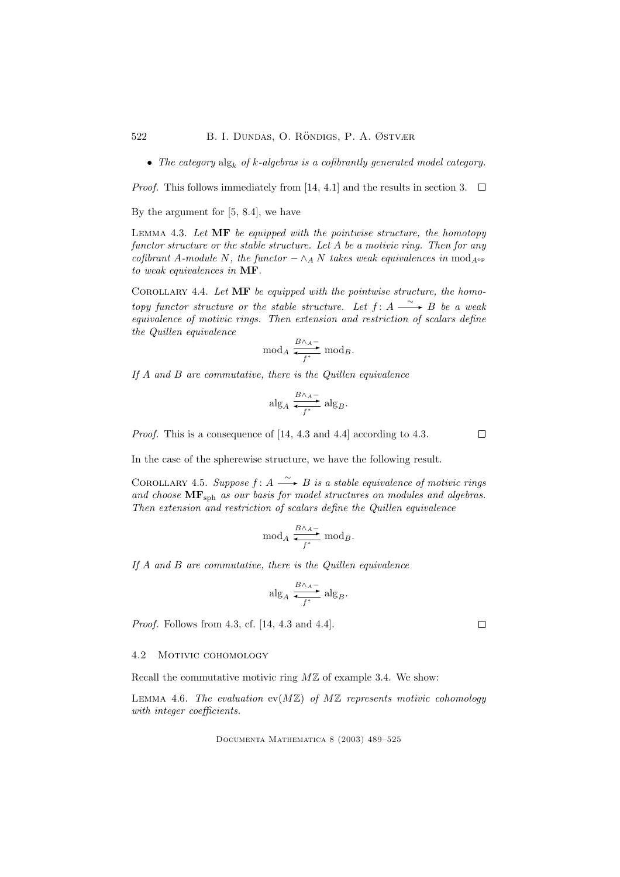• The category  $\text{alg}_k$  of k-algebras is a cofibrantly generated model category.

*Proof.* This follows immediately from [14, 4.1] and the results in section 3.  $\Box$ 

By the argument for [5, 8.4], we have

LEMMA 4.3. Let  $\mathbf{MF}$  be equipped with the pointwise structure, the homotopy functor structure or the stable structure. Let A be a motivic ring. Then for any cofibrant A-module N, the functor  $-\wedge_A N$  takes weak equivalences in mod<sub>A<sup>op</sup></sub> to weak equivalences in MF.

COROLLARY 4.4. Let  $\overline{\text{MF}}$  be equipped with the pointwise structure, the homotopy functor structure or the stable structure. Let  $f: A \longrightarrow B$  be a weak equivalence of motivic rings. Then extension and restriction of scalars define the Quillen equivalence

$$
\mod_A \frac{B \wedge_A - }{f^*} \mod_B.
$$

If A and B are commutative, there is the Quillen equivalence

$$
\mathrm{alg}_A \xrightarrow{B \wedge_A -} \mathrm{alg}_B.
$$

Proof. This is a consequence of [14, 4.3 and 4.4] according to 4.3.

In the case of the spherewise structure, we have the following result.

COROLLARY 4.5. Suppose  $f: A \longrightarrow B$  is a stable equivalence of motivic rings and choose  $\text{MF}_{\text{sph}}$  as our basis for model structures on modules and algebras. Then extension and restriction of scalars define the Quillen equivalence

$$
\operatorname{mod}_A \frac{B \wedge_A -}{f^*} \operatorname{mod}_B.
$$

If A and B are commutative, there is the Quillen equivalence

$$
\mathrm{alg}_A \xrightarrow{B \wedge_A -} \mathrm{alg}_B.
$$

Proof. Follows from 4.3, cf. [14, 4.3 and 4.4].

# 4.2 Motivic cohomology

Recall the commutative motivic ring  $M\mathbb{Z}$  of example 3.4. We show:

LEMMA 4.6. The evaluation  $ev(M\mathbb{Z})$  of  $M\mathbb{Z}$  represents motivic cohomology with integer coefficients.

Documenta Mathematica 8 (2003) 489–525

 $\Box$ 

 $\Box$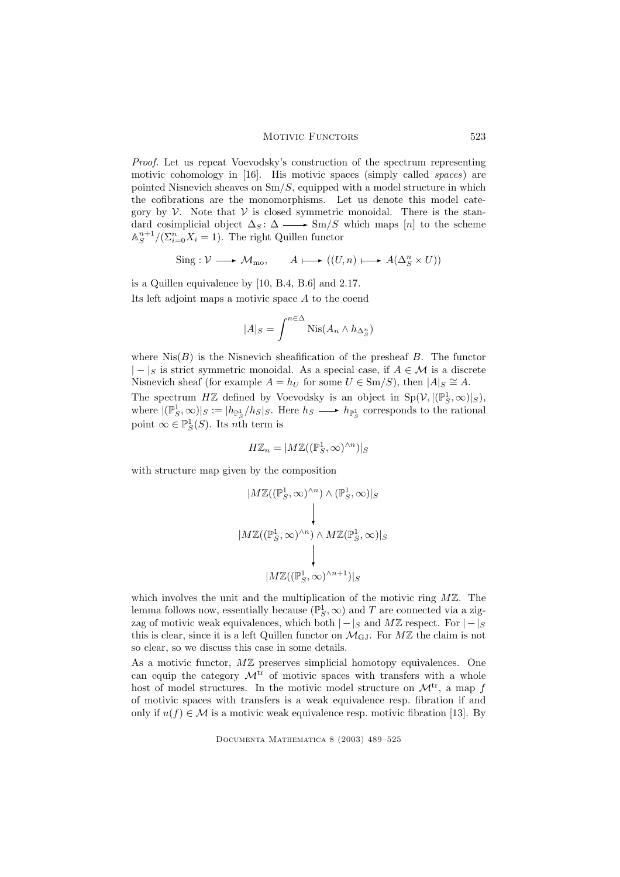#### MOTIVIC FUNCTORS 523

Proof. Let us repeat Voevodsky's construction of the spectrum representing motivic cohomology in [16]. His motivic spaces (simply called *spaces*) are pointed Nisnevich sheaves on  $\text{Sm}/S$ , equipped with a model structure in which the cofibrations are the monomorphisms. Let us denote this model category by  $\mathcal V$ . Note that  $\mathcal V$  is closed symmetric monoidal. There is the standard cosimplicial object  $\Delta_S : \Delta \longrightarrow \text{Sm}/S$  which maps [n] to the scheme  $\mathbb{A}^{n+1}_S / (\Sigma_{i=0}^n X_i = 1)$ . The right Quillen functor

$$
Sing: \mathcal{V} \longrightarrow \mathcal{M}_{mo}, \qquad A \longmapsto ((U, n) \longmapsto A(\Delta_S^n \times U))
$$

is a Quillen equivalence by [10, B.4, B.6] and 2.17. Its left adjoint maps a motivic space A to the coend

$$
|A|_S = \int^{n \in \Delta} \text{Nis}(A_n \wedge h_{\Delta_S^n})
$$

where  $Nis(B)$  is the Nisnevich sheafification of the presheaf B. The functor  $|-|_S$  is strict symmetric monoidal. As a special case, if  $A \in \mathcal{M}$  is a discrete Nisnevich sheaf (for example  $A = h_U$  for some  $U \in \text{Sm}/S$ ), then  $|A|_S \cong A$ . The spectrum  $H\mathbb{Z}$  defined by Voevodsky is an object in  $Sp(\mathcal{V}, |(\mathbb{P}^1_S, \infty)|_S)$ , where  $|(\mathbb{P}_S^1, \infty)|_S := |h_{\mathbb{P}_S^1}/h_S|_S$ . Here  $h_S \longrightarrow h_{\mathbb{P}_S^1}$  corresponds to the rational point  $\infty \in \mathbb{P}_{S}^{1}(S)$ . Its *n*th term is

$$
H\mathbb{Z}_n = |M\mathbb{Z}((\mathbb{P}_S^1, \infty)^{\wedge n})|_S
$$

with structure map given by the composition

$$
|M\mathbb{Z}((\mathbb{P}_S^1, \infty)^{\wedge n}) \wedge (\mathbb{P}_S^1, \infty)|_S
$$
  
\n
$$
|M\mathbb{Z}((\mathbb{P}_S^1, \infty)^{\wedge n}) \wedge M\mathbb{Z}(\mathbb{P}_S^1, \infty)|_S
$$
  
\n
$$
|M\mathbb{Z}((\mathbb{P}_S^1, \infty)^{\wedge n+1})|_S
$$

which involves the unit and the multiplication of the motivic ring  $M\mathbb{Z}$ . The lemma follows now, essentially because  $(\mathbb{P}^1_S, \infty)$  and T are connected via a zigzag of motivic weak equivalences, which both  $|-|S|$  and MZ respect. For  $|-|S|$ this is clear, since it is a left Quillen functor on  $\mathcal{M}_{\mathrm{GJ}}$ . For  $M\mathbb{Z}$  the claim is not so clear, so we discuss this case in some details.

As a motivic functor,  $M\mathbb{Z}$  preserves simplicial homotopy equivalences. One can equip the category  $\mathcal{M}^{tr}$  of motivic spaces with transfers with a whole host of model structures. In the motivic model structure on  $\mathcal{M}^{tr}$ , a map f of motivic spaces with transfers is a weak equivalence resp. fibration if and only if  $u(f) \in \mathcal{M}$  is a motivic weak equivalence resp. motivic fibration [13]. By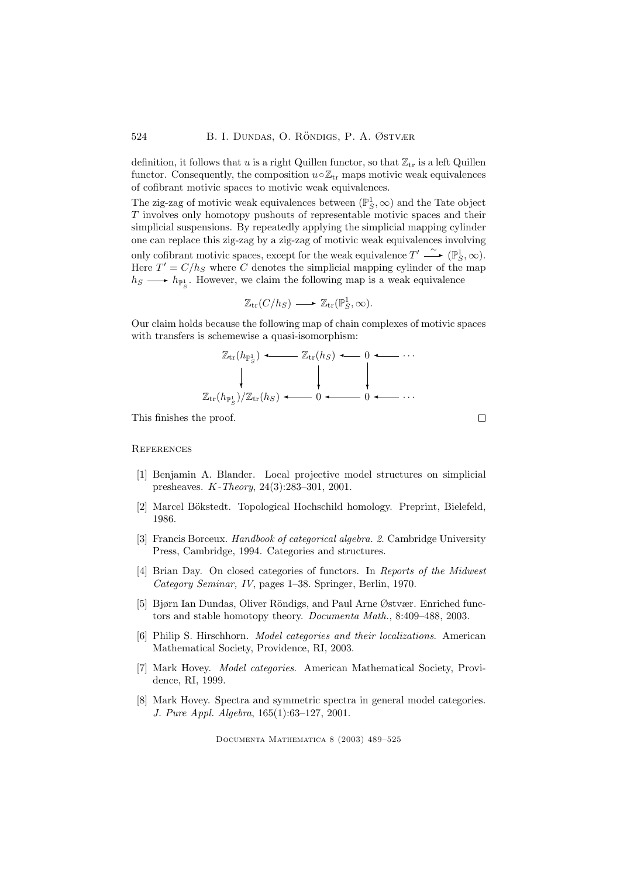definition, it follows that u is a right Quillen functor, so that  $\mathbb{Z}_{tr}$  is a left Quillen functor. Consequently, the composition  $u \circ \mathbb{Z}_{tr}$  maps motivic weak equivalences of cofibrant motivic spaces to motivic weak equivalences.

The zig-zag of motivic weak equivalences between  $(\mathbb{P}^1_S,\infty)$  and the Tate object T involves only homotopy pushouts of representable motivic spaces and their simplicial suspensions. By repeatedly applying the simplicial mapping cylinder one can replace this zig-zag by a zig-zag of motivic weak equivalences involving only cofibrant motivic spaces, except for the weak equivalence  $T' \xrightarrow{\sim} (\mathbb{P}^1_S, \infty)$ . Here  $T' = C/h<sub>S</sub>$  where C denotes the simplicial mapping cylinder of the map  $h_S \longrightarrow h_{\mathbb{P}^1_S}$ . However, we claim the following map is a weak equivalence

$$
\mathbb{Z}_{\text{tr}}(C/h_S) \longrightarrow \mathbb{Z}_{\text{tr}}(\mathbb{P}_S^1, \infty).
$$

Our claim holds because the following map of chain complexes of motivic spaces with transfers is schemewise a quasi-isomorphism:

$$
\mathbb{Z}_{\text{tr}}(h_{\mathbb{P}_S^1}) \longleftarrow \mathbb{Z}_{\text{tr}}(h_S) \longleftarrow 0 \longleftarrow \cdots
$$
\n
$$
\downarrow \qquad \qquad \downarrow \qquad \qquad \downarrow
$$
\n
$$
\mathbb{Z}_{\text{tr}}(h_{\mathbb{P}_S^1})/\mathbb{Z}_{\text{tr}}(h_S) \longleftarrow 0 \longleftarrow \cdots
$$

This finishes the proof.

# **REFERENCES**

- [1] Benjamin A. Blander. Local projective model structures on simplicial presheaves. K-Theory, 24(3):283–301, 2001.
- [2] Marcel Bökstedt. Topological Hochschild homology. Preprint, Bielefeld, 1986.
- [3] Francis Borceux. Handbook of categorical algebra. 2. Cambridge University Press, Cambridge, 1994. Categories and structures.
- [4] Brian Day. On closed categories of functors. In Reports of the Midwest Category Seminar, IV, pages 1–38. Springer, Berlin, 1970.
- [5] Bjørn Ian Dundas, Oliver Röndigs, and Paul Arne Østvær. Enriched functors and stable homotopy theory. Documenta Math., 8:409–488, 2003.
- [6] Philip S. Hirschhorn. Model categories and their localizations. American Mathematical Society, Providence, RI, 2003.
- [7] Mark Hovey. Model categories. American Mathematical Society, Providence, RI, 1999.
- [8] Mark Hovey. Spectra and symmetric spectra in general model categories. J. Pure Appl. Algebra, 165(1):63–127, 2001.

Documenta Mathematica 8 (2003) 489–525

 $\Box$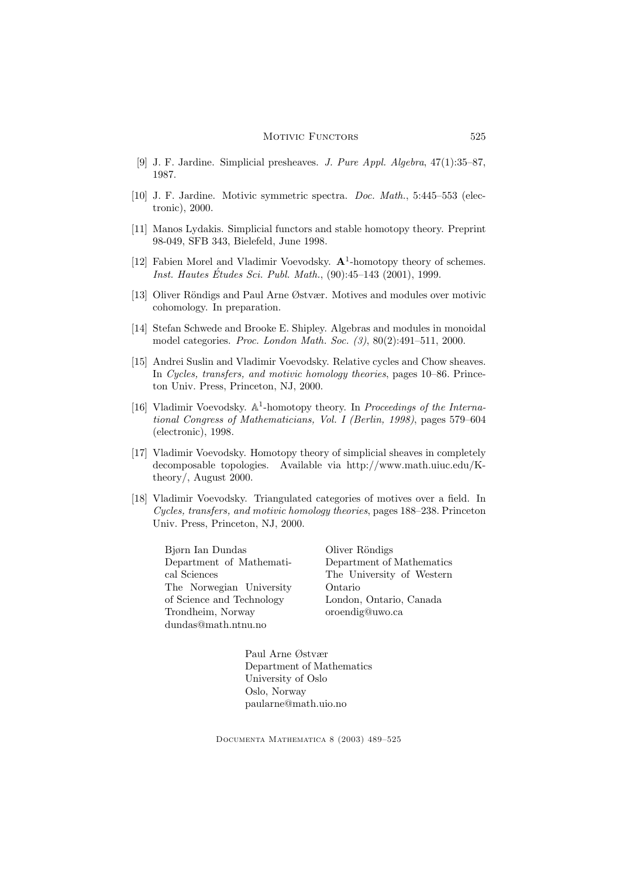### MOTIVIC FUNCTORS 525

- [9] J. F. Jardine. Simplicial presheaves. J. Pure Appl. Algebra, 47(1):35–87, 1987.
- [10] J. F. Jardine. Motivic symmetric spectra. Doc. Math., 5:445–553 (electronic), 2000.
- [11] Manos Lydakis. Simplicial functors and stable homotopy theory. Preprint 98-049, SFB 343, Bielefeld, June 1998.
- [12] Fabien Morel and Vladimir Voevodsky.  $A^1$ -homotopy theory of schemes. *Inst. Hautes Études Sci. Publ. Math.*,  $(90):45-143$   $(2001)$ , 1999.
- [13] Oliver Röndigs and Paul Arne Østvær. Motives and modules over motivic cohomology. In preparation.
- [14] Stefan Schwede and Brooke E. Shipley. Algebras and modules in monoidal model categories. Proc. London Math. Soc. (3), 80(2):491–511, 2000.
- [15] Andrei Suslin and Vladimir Voevodsky. Relative cycles and Chow sheaves. In Cycles, transfers, and motivic homology theories, pages 10–86. Princeton Univ. Press, Princeton, NJ, 2000.
- [16] Vladimir Voevodsky. A<sup>1</sup>-homotopy theory. In Proceedings of the International Congress of Mathematicians, Vol. I (Berlin, 1998), pages 579–604 (electronic), 1998.
- [17] Vladimir Voevodsky. Homotopy theory of simplicial sheaves in completely decomposable topologies. Available via http://www.math.uiuc.edu/Ktheory/, August 2000.
- [18] Vladimir Voevodsky. Triangulated categories of motives over a field. In Cycles, transfers, and motivic homology theories, pages 188–238. Princeton Univ. Press, Princeton, NJ, 2000.

Bjørn Ian Dundas Department of Mathematical Sciences The Norwegian University of Science and Technology Trondheim, Norway dundas@math.ntnu.no

Oliver Röndigs Department of Mathematics The University of Western Ontario London, Ontario, Canada oroendig@uwo.ca

Paul Arne Østvær Department of Mathematics University of Oslo Oslo, Norway paularne@math.uio.no